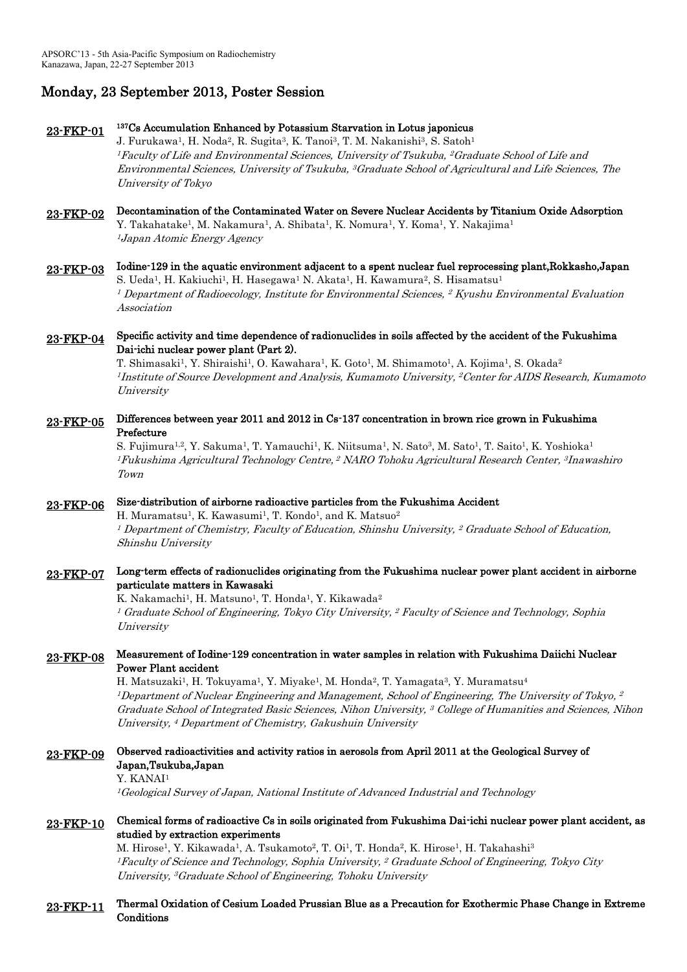# Monday, 23 September 2013, Poster Session

#### 23-FKP-01 <sup>137</sup>Cs Accumulation Enhanced by Potassium Starvation in Lotus japonicus

J. Furukawa<sup>1</sup>, H. Noda<sup>2</sup>, R. Sugita<sup>3</sup>, K. Tanoi<sup>3</sup>, T. M. Nakanishi<sup>3</sup>, S. Satoh<sup>1</sup> <sup>1</sup>Faculty of Life and Environmental Sciences, University of Tsukuba, <sup>2</sup>Graduate School of Life and Environmental Sciences, University of Tsukuba, <sup>3</sup>Graduate School of Agricultural and Life Sciences, The University of Tokyo

23-FKP-02 Decontamination of the Contaminated Water on Severe Nuclear Accidents by Titanium Oxide Adsorption Y. Takahatake<sup>1</sup>, M. Nakamura<sup>1</sup>, A. Shibata<sup>1</sup>, K. Nomura<sup>1</sup>, Y. Koma<sup>1</sup>, Y. Nakajima<sup>1</sup> <sup>1</sup> Japan Atomic Energy Agency

### 23-FKP-03 Iodine-129 in the aquatic environment adjacent to a spent nuclear fuel reprocessing plant,Rokkasho,Japan S. Ueda<sup>1</sup>, H. Kakiuchi<sup>1</sup>, H. Hasegawa<sup>1</sup> N. Akata<sup>1</sup>, H. Kawamura<sup>2</sup>, S. Hisamatsu<sup>1</sup>

<sup>1</sup> Department of Radioecology, Institute for Environmental Sciences, <sup>2</sup> Kyushu Environmental Evaluation Association

### 23-FKP-04 Specific activity and time dependence of radionuclides in soils affected by the accident of the Fukushima Dai-ichi nuclear power plant (Part 2).

T. Shimasaki<sup>1</sup>, Y. Shiraishi<sup>1</sup>, O. Kawahara<sup>1</sup>, K. Goto<sup>1</sup>, M. Shimamoto<sup>1</sup>, A. Kojima<sup>1</sup>, S. Okada<sup>2</sup>  $^1$ Institute of Source Development and Analysis, Kumamoto University,  $^2$ Center for AIDS Research, Kumamoto *University* 

## 23-FKP-05 Differences between year 2011 and 2012 in Cs-137 concentration in brown rice grown in Fukushima Prefecture

S. Fujimura<sup>1,2</sup>, Y. Sakuma<sup>1</sup>, T. Yamauchi<sup>1</sup>, K. Niitsuma<sup>1</sup>, N. Sato<sup>3</sup>, M. Sato<sup>1</sup>, T. Saito<sup>1</sup>, K. Yoshioka<sup>1</sup> <sup>1</sup>Fukushima Agricultural Technology Centre, <sup>2</sup> NARO Tohoku Agricultural Research Center, <sup>3</sup>Inawashiro Town

#### 23-FKP-06 Size-distribution of airborne radioactive particles from the Fukushima Accident

H. Muramatsu<sup>1</sup>, K. Kawasumi<sup>1</sup>, T. Kondo<sup>1</sup>, and K. Matsuo<sup>2</sup>  $^{\rm 1}$  Department of Chemistry, Faculty of Education, Shinshu University,  $^{\rm 2}$  Graduate School of Education, Shinshu University

## 23-FKP-07 Long-term effects of radionuclides originating from the Fukushima nuclear power plant accident in airborne particulate matters in Kawasaki

K. Nakamachi<sup>1</sup>, H. Matsuno<sup>1</sup>, T. Honda<sup>1</sup>, Y. Kikawada<sup>2</sup> <sup>1</sup> Graduate School of Engineering, Tokyo City University, <sup>2</sup> Faculty of Science and Technology, Sophia **University** 

## 23-FKP-08 Measurement of Iodine-129 concentration in water samples in relation with Fukushima Daiichi Nuclear Power Plant accident

H. Matsuzaki<sup>1</sup>, H. Tokuyama<sup>1</sup>, Y. Miyake<sup>1</sup>, M. Honda<sup>2</sup>, T. Yamagata<sup>3</sup>, Y. Muramatsu<sup>4</sup>  $^1$ Department of Nuclear Engineering and Management, School of Engineering, The University of Tokyo,  $^2$ Graduate School of Integrated Basic Sciences, Nihon University, <sup>3</sup> College of Humanities and Sciences, Nihon University, <sup>4</sup> Department of Chemistry, Gakushuin University

# 23-FKP-09 Observed radioactivities and activity ratios in aerosols from April 2011 at the Geological Survey of Japan,Tsukuba,Japan

Y. KANAI<sup>1</sup>

<sup>1</sup>Geological Survey of Japan, National Institute of Advanced Industrial and Technology

## 23-FKP-10 Chemical forms of radioactive Cs in soils originated from Fukushima Dai-ichi nuclear power plant accident, as studied by extraction experiments

M. Hirose<sup>1</sup>, Y. Kikawada<sup>1</sup>, A. Tsukamoto<sup>2</sup>, T. Oi<sup>1</sup>, T. Honda<sup>2</sup>, K. Hirose<sup>1</sup>, H. Takahashi<sup>3</sup> <sup>1</sup>Faculty of Science and Technology, Sophia University, <sup>2</sup> Graduate School of Engineering, Tokyo City University, <sup>3</sup>Graduate School of Engineering, Tohoku University

### 23-FKP-11 Thermal Oxidation of Cesium Loaded Prussian Blue as a Precaution for Exothermic Phase Change in Extreme **Conditions**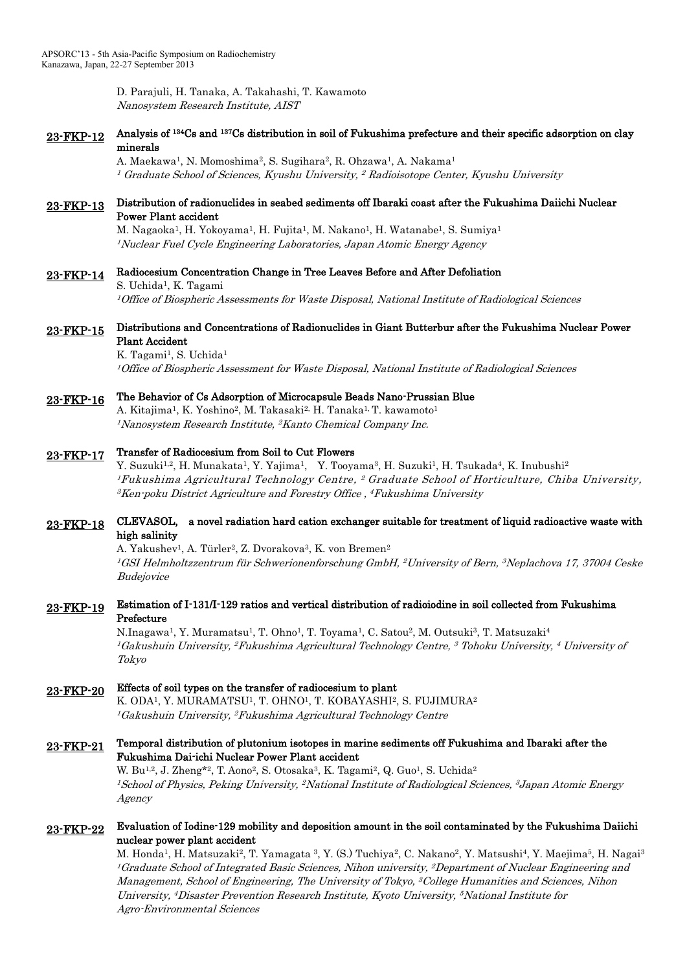D. Parajuli, H. Tanaka, A. Takahashi, T. Kawamoto Nanosystem Research Institute, AIST

23-FKP-12 Analysis of <sup>134</sup>Cs and <sup>137</sup>Cs distribution in soil of Fukushima prefecture and their specific adsorption on clay minerals

> A. Maekawa<sup>1</sup>, N. Momoshima<sup>2</sup>, S. Sugihara<sup>2</sup>, R. Ohzawa<sup>1</sup>, A. Nakama<sup>1</sup> <sup>1</sup> Graduate School of Sciences, Kyushu University, <sup>2</sup> Radioisotope Center, Kyushu University

## 23-FKP-13 Distribution of radionuclides in seabed sediments off Ibaraki coast after the Fukushima Daiichi Nuclear Power Plant accident

M. Nagaoka<sup>1</sup>, H. Yokoyama<sup>1</sup>, H. Fujita<sup>1</sup>, M. Nakano<sup>1</sup>, H. Watanabe<sup>1</sup>, S. Sumiya<sup>1</sup> <sup>1</sup>Nuclear Fuel Cycle Engineering Laboratories, Japan Atomic Energy Agency

# 23-FKP-14 Radiocesium Concentration Change in Tree Leaves Before and After Defoliation S. Uchida<sup>1</sup>, K. Tagami

<sup>1</sup>Office of Biospheric Assessments for Waste Disposal, National Institute of Radiological Sciences

## 23-FKP-15 Distributions and Concentrations of Radionuclides in Giant Butterbur after the Fukushima Nuclear Power Plant Accident

K. Tagami<sup>1</sup>, S. Uchida<sup>1</sup> <sup>1</sup>Office of Biospheric Assessment for Waste Disposal, National Institute of Radiological Sciences

#### 23-FKP-16 The Behavior of Cs Adsorption of Microcapsule Beads Nano-Prussian Blue

A. Kitajima<sup>1</sup>, K. Yoshino<sup>2</sup>, M. Takasaki<sup>2,</sup> H. Tanaka<sup>1,</sup> T. kawamoto<sup>1</sup> <sup>1</sup>Nanosystem Research Institute, <sup>2</sup>Kanto Chemical Company Inc.

#### 23-FKP-17 Transfer of Radiocesium from Soil to Cut Flowers

Y. Suzuki<sup>1,2</sup>, H. Munakata<sup>1</sup>, Y. Yajima<sup>1</sup>, Y. Tooyama<sup>3</sup>, H. Suzuki<sup>1</sup>, H. Tsukada<sup>4</sup>, K. Inubushi<sup>2</sup> <sup>1</sup>Fukushima Agricultural Technology Centre, <sup>2</sup>Graduate School of Horticulture, Chiba University,  $^3\!$ Ken-poku District Agriculture and Forestry Office ,  $^4\!$ Fukushima University

### 23-FKP-18 CLEVASOL, a novel radiation hard cation exchanger suitable for treatment of liquid radioactive waste with high salinity

A. Yakushev<sup>1</sup>, A. Türler<sup>2</sup>, Z. Dvorakova<sup>3</sup>, K. von Bremen<sup>2</sup> <sup>1</sup>GSI Helmholtzzentrum für Schwerionenforschung GmbH, <sup>2</sup>University of Bern, <sup>3</sup>Neplachova 17, 37004 Ceske **Budejovice** 

## 23-FKP-19 Estimation of I-131/I-129 ratios and vertical distribution of radioiodine in soil collected from Fukushima Prefecture

N.Inagawa<sup>1</sup>, Y. Muramatsu<sup>1</sup>, T. Ohno<sup>1</sup>, T. Toyama<sup>1</sup>, C. Satou<sup>2</sup>, M. Outsuki<sup>3</sup>, T. Matsuzaki<sup>4</sup>  $^1G$ akushuin University,  $^2F$ ukushima Agricultural Technology Centre,  $^3$  Tohoku University,  $^4$  University of Tokyo

# 23-FKP-20 Effects of soil types on the transfer of radiocesium to plant

K. ODA<sup>1</sup>, Y. MURAMATSU<sup>1</sup>, T. OHNO<sup>1</sup>, T. KOBAYASHI<sup>2</sup>, S. FUJIMURA<del>2</del> <sup>1</sup>Gakushuin University, <sup>2</sup>Fukushima Agricultural Technology Centre

### 23-FKP-21 Temporal distribution of plutonium isotopes in marine sediments off Fukushima and Ibaraki after the Fukushima Dai-ichi Nuclear Power Plant accident

W. Bu<sup>1,2</sup>, J. Zheng\*<sup>2</sup>, T. Aono<sup>2</sup>, S. Otosaka<sup>3</sup>, K. Tagami<sup>2</sup>, Q. Guo<sup>1</sup>, S. Uchida<sup>2</sup> <sup>1</sup>School of Physics, Peking University, <sup>2</sup>National Institute of Radiological Sciences, <sup>3</sup>Japan Atomic Energy Agency

## 23-FKP-22 Evaluation of Iodine-129 mobility and deposition amount in the soil contaminated by the Fukushima Daiichi nuclear power plant accident

M. Honda<sup>1</sup>, H. Matsuzaki<sup>2</sup>, T. Yamagata <sup>3</sup>, Y. (S.) Tuchiya<sup>2</sup>, C. Nakano<sup>2</sup>, Y. Matsushi<sup>4</sup>, Y. Maejima<sup>5</sup>, H. Nagai<sup>3</sup> <sup>1</sup>Graduate School of Integrated Basic Sciences, Nihon university, <sup>2</sup>Department of Nuclear Engineering and Management, School of Engineering, The University of Tokyo, <sup>3</sup>College Humanities and Sciences, Nihon University, <sup>4</sup>Disaster Prevention Research Institute, Kyoto University, <sup>5</sup>National Institute for Agro-Environmental Sciences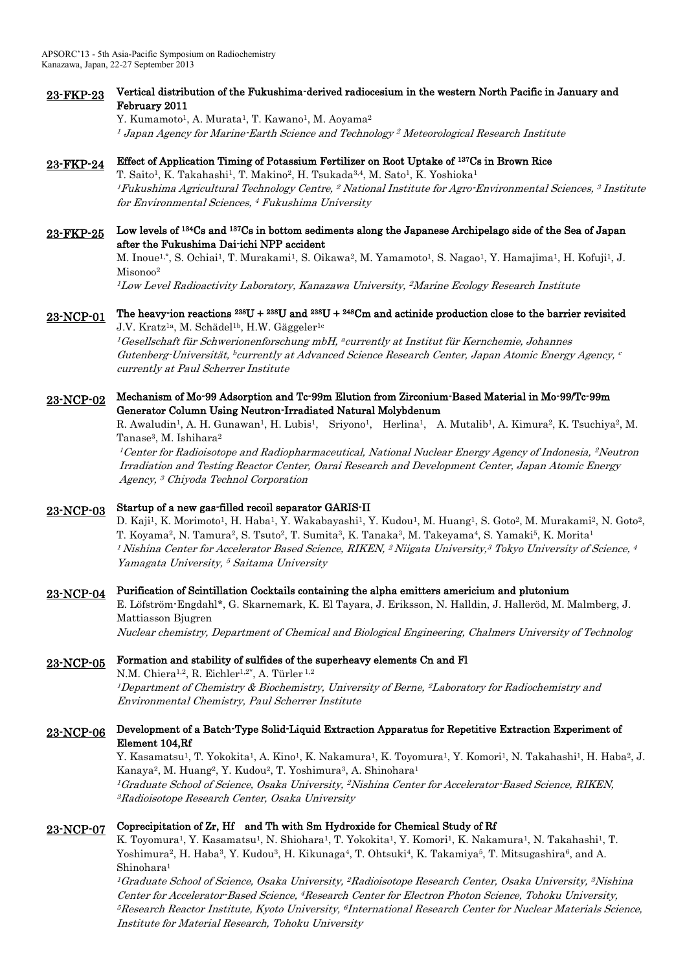### 23-FKP-23 Vertical distribution of the Fukushima-derived radiocesium in the western North Pacific in January and February 2011

Y. Kumamoto<sup>1</sup>, A. Murata<sup>1</sup>, T. Kawano<sup>1</sup>, M. Aoyama<sup>2</sup> <sup>1</sup> Japan Agency for Marine-Earth Science and Technology <sup>2</sup> Meteorological Research Institute

## 23-FKP-24 Effect of Application Timing of Potassium Fertilizer on Root Uptake of <sup>137</sup>Cs in Brown Rice

T. Saito<sup>1</sup>, K. Takahashi<sup>1</sup>, T. Makino<sup>2</sup>, H. Tsukada<sup>3,4</sup>, M. Sato<sup>1</sup>, K. Yoshioka<sup>1</sup> <sup>1</sup>Fukushima Agricultural Technology Centre, <sup>2</sup> National Institute for Agro-Environmental Sciences, <sup>3</sup> Institute for Environmental Sciences, <sup>4</sup> Fukushima University

### 23-FKP-25 Low levels of <sup>134</sup>Cs and <sup>137</sup>Cs in bottom sediments along the Japanese Archipelago side of the Sea of Japan after the Fukushima Dai-ichi NPP accident

M. Inoue<sup>1,\*</sup>, S. Ochiai<sup>1</sup>, T. Murakami<sup>1</sup>, S. Oikawa<sup>2</sup>, M. Yamamoto<sup>1</sup>, S. Nagao<sup>1</sup>, Y. Hamajima<sup>1</sup>, H. Kofuji<sup>1</sup>, J. Misonoo<sup>2</sup>

 $^{1}$ Low Level Radioactivity Laboratory, Kanazawa University,  $^{2}$ Marine Ecology Research Institute

### 23-NCP-01 The heavy-ion reactions  $^{238}U + ^{238}U$  and  $^{238}U + ^{248}Cm$  and actinide production close to the barrier revisited J.V. Kratz<sup>1a</sup>, M. Schädel<sup>1b</sup>, H.W. Gäggeler<sup>1c</sup>

 $^l$ Gesellschaft für Schwerionenforschung mbH, ªcurrently at Institut für Kernchemie, Johannes Gutenberg-Universität, <sup>b</sup> currently at Advanced Science Research Center, Japan Atomic Energy Agency, c currently at Paul Scherrer Institute

## 23-NCP-02 Mechanism of Mo-99 Adsorption and Tc-99m Elution from Zirconium-Based Material in Mo-99/Tc-99m Generator Column Using Neutron-Irradiated Natural Molybdenum

R. Awaludin<sup>1</sup>, A. H. Gunawan<sup>1</sup>, H. Lubis<sup>1</sup>, Sriyono<sup>1</sup>, Herlina<sup>1</sup>, A. Mutalib<sup>1</sup>, A. Kimura<sup>2</sup>, K. Tsuchiya<sup>2</sup>, M. Tanase<sup>3</sup>, M. Ishihara<sup>2</sup>

 $^1$ Center for Radioisotope and Radiopharmaceutical, National Nuclear Energy Agency of Indonesia,  $^2$ Neutron Irradiation and Testing Reactor Center, Oarai Research and Development Center, Japan Atomic Energy Agency, <sup>3</sup> Chiyoda Technol Corporation

#### 23-NCP-03 Startup of a new gas-filled recoil separator GARIS-II

D. Kaji<sup>1</sup>, K. Morimoto<sup>1</sup>, H. Haba<sup>1</sup>, Y. Wakabayashi<sup>1</sup>, Y. Kudou<sup>1</sup>, M. Huang<sup>1</sup>, S. Goto<sup>2</sup>, M. Murakami<sup>2</sup>, N. Goto<sup>2</sup>, T. Koyama<sup>2</sup>, N. Tamura<sup>2</sup>, S. Tsuto<sup>2</sup>, T. Sumita<sup>3</sup>, K. Tanaka<sup>3</sup>, M. Takeyama<sup>4</sup>, S. Yamaki<sup>5</sup>, K. Morita<sup>1</sup>  $^1$  Nishina Center for Accelerator Based Science, RIKEN,  $^2$  Niigata University, $^3$  Tokyo University of Science,  $^4$ Yamagata University, <sup>5</sup> Saitama University

### 23-NCP-04 Purification of Scintillation Cocktails containing the alpha emitters americium and plutonium

E. Löfström-Engdahl\*, G. Skarnemark, K. El Tayara, J. Eriksson, N. Halldin, J. Halleröd, M. Malmberg, J. Mattiasson Bjugren

Nuclear chemistry, Department of Chemical and Biological Engineering, Chalmers University of Technolog

#### 23-NCP-05 Formation and stability of sulfides of the superheavy elements Cn and Fl

N.M. Chiera<sup>1,2</sup>, R. Eichler<sup>1,2\*</sup>, A. Türler<sup>1,2</sup> <sup>1</sup>Department of Chemistry & Biochemistry, University of Berne, <sup>2</sup>Laboratory for Radiochemistry and Environmental Chemistry, Paul Scherrer Institute

## 23-NCP-06 Development of a Batch-Type Solid-Liquid Extraction Apparatus for Repetitive Extraction Experiment of Element 104,Rf

Y. Kasamatsu<sup>1</sup>, T. Yokokita<sup>1</sup>, A. Kino<sup>1</sup>, K. Nakamura<sup>1</sup>, K. Toyomura<sup>1</sup>, Y. Komori<sup>1</sup>, N. Takahashi<sup>1</sup>, H. Haba<sup>2</sup>, J. Kanaya<sup>2</sup>, M. Huang<sup>2</sup>, Y. Kudou<sup>2</sup>, T. Yoshimura<sup>3</sup>, A. Shinohara<sup>1</sup> <sup>1</sup>Graduate School of Science, Osaka University, <sup>2</sup>Nishina Center for Accelerator-Based Science, RIKEN, <sup>3</sup>Radioisotope Research Center, Osaka University

## 23-NCP-07 Coprecipitation of Zr, Hf and Th with Sm Hydroxide for Chemical Study of Rf

K. Toyomura<sup>1</sup>, Y. Kasamatsu<sup>1</sup>, N. Shiohara<sup>1</sup>, T. Yokokita<sup>1</sup>, Y. Komori<sup>1</sup>, K. Nakamura<sup>1</sup>, N. Takahashi<sup>1</sup>, T. Yoshimura<sup>2</sup>, H. Haba<sup>3</sup>, Y. Kudou<sup>3</sup>, H. Kikunaga<sup>4</sup>, T. Ohtsuki<sup>4</sup>, K. Takamiya<sup>5</sup>, T. Mitsugashira<sup>6</sup>, and A. Shinohara<sup>1</sup>

<sup>1</sup>Graduate School of Science, Osaka University, <sup>2</sup>Radioisotope Research Center, Osaka University, <sup>3</sup>Nishina Center for Accelerator-Based Science, <sup>4</sup>Research Center for Electron Photon Science, Tohoku University, <sup>5</sup>Research Reactor Institute, Kyoto University, <sup>6</sup>International Research Center for Nuclear Materials Science, Institute for Material Research, Tohoku University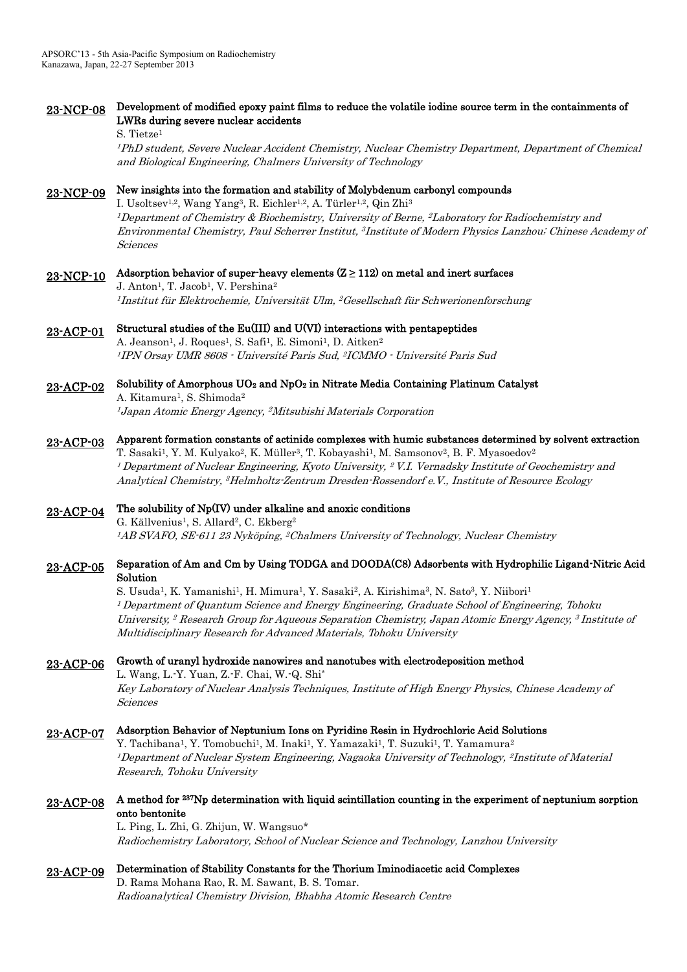# 23-NCP-08 Development of modified epoxy paint films to reduce the volatile iodine source term in the containments of LWRs during severe nuclear accidents

S. Tietze<sup>1</sup>

<sup>1</sup>PhD student, Severe Nuclear Accident Chemistry, Nuclear Chemistry Department, Department of Chemical and Biological Engineering, Chalmers University of Technology

# 23-NCP-09 New insights into the formation and stability of Molybdenum carbonyl compounds

I. Usoltsev<sup>1,2</sup>, Wang Yang<sup>3</sup>, R. Eichler<sup>1,2</sup>, A. Türler<sup>1,2</sup>, Qin Zhi<sup>3</sup> <sup>1</sup>Department of Chemistry & Biochemistry, University of Berne, <sup>2</sup>Laboratory for Radiochemistry and Environmental Chemistry, Paul Scherrer Institut, <sup>3</sup> Institute of Modern Physics Lanzhou; Chinese Academy of Sciences

# 23-NCP-10 Adsorption behavior of super-heavy elements  $(Z \ge 112)$  on metal and inert surfaces

J. Anton<sup>1</sup>, T. Jacob<sup>1</sup>, V. Pershina<sup>2</sup>  $^l$ Institut für Elektrochemie, Universität Ulm,  $^2$ Gesellschaft für Schwerionenforschung

### 23-ACP-01 Structural studies of the Eu(III) and U(VI) interactions with pentapeptides

A. Jeanson<sup>1</sup>, J. Roques<sup>1</sup>, S. Safi<sup>1</sup>, E. Simoni<sup>1</sup>, D. Aitken<sup>2</sup> <sup>1</sup> IPN Orsay UMR 8608 - Université Paris Sud, <sup>2</sup>ICMMO - Université Paris Sud

#### 23-ACP-02 Solubility of Amorphous UO2 and NpO2 in Nitrate Media Containing Platinum Catalyst

A. Kitamura<sup>1</sup>, S. Shimoda<sup>2</sup> <sup>1</sup> Japan Atomic Energy Agency, <sup>2</sup>Mitsubishi Materials Corporation

### 23-ACP-03 Apparent formation constants of actinide complexes with humic substances determined by solvent extraction T. Sasaki<sup>1</sup>, Y. M. Kulyako<sup>2</sup>, K. Müller<sup>3</sup>, T. Kobayashi<sup>1</sup>, M. Samsonov<sup>2</sup>, B. F. Myasoedov<sup>2</sup>

 $^{\rm 1}$  Department of Nuclear Engineering, Kyoto University,  $^{\rm 2}$  V.I. Vernadsky Institute of Geochemistry and Analytical Chemistry, <sup>3</sup>Helmholtz-Zentrum Dresden-Rossendorf e.V., Institute of Resource Ecology

#### 23-ACP-04 The solubility of Np(IV) under alkaline and anoxic conditions

G. Källvenius<sup>1</sup>, S. Allard<sup>2</sup>, C. Ekberg<sup>2</sup> <sup>1</sup>AB SVAFO, SE-611 23 Nyköping, <sup>2</sup>Chalmers University of Technology, Nuclear Chemistry

### 23-ACP-05 Separation of Am and Cm by Using TODGA and DOODA(C8) Adsorbents with Hydrophilic Ligand-Nitric Acid Solution

S. Usuda<sup>1</sup>, K. Yamanishi<sup>1</sup>, H. Mimura<sup>1</sup>, Y. Sasaki<sup>2</sup>, A. Kirishima<sup>3</sup>, N. Sato<sup>3</sup>, Y. Niibori<sup>1</sup> <sup>1</sup> Department of Quantum Science and Energy Engineering, Graduate School of Engineering, Tohoku University, <sup>2</sup> Research Group for Aqueous Separation Chemistry, Japan Atomic Energy Agency, <sup>3</sup> Institute of Multidisciplinary Research for Advanced Materials, Tohoku University

# 23-ACP-06 Growth of uranyl hydroxide nanowires and nanotubes with electrodeposition method

L. Wang, L.-Y. Yuan, Z.-F. Chai, W.-Q. Shi\* Key Laboratory of Nuclear Analysis Techniques, Institute of High Energy Physics, Chinese Academy of Sciences

# 23-ACP-07 Adsorption Behavior of Neptunium Ions on Pyridine Resin in Hydrochloric Acid Solutions

Y. Tachibana<sup>1</sup>, Y. Tomobuchi<sup>1</sup>, M. Inaki<sup>1</sup>, Y. Yamazaki<sup>1</sup>, T. Suzuki<sup>1</sup>, T. Yamamura<sup>2</sup> <sup>1</sup>Department of Nuclear System Engineering, Nagaoka University of Technology, <sup>2</sup>Institute of Material Research, Tohoku University

## 23-ACP-08 A method for <sup>237</sup>Np determination with liquid scintillation counting in the experiment of neptunium sorption onto bentonite

L. Ping, L. Zhi, G. Zhijun, W. Wangsuo\* Radiochemistry Laboratory, School of Nuclear Science and Technology, Lanzhou University

# 23-ACP-09 Determination of Stability Constants for the Thorium Iminodiacetic acid Complexes D. Rama Mohana Rao, R. M. Sawant, B. S. Tomar.

Radioanalytical Chemistry Division, Bhabha Atomic Research Centre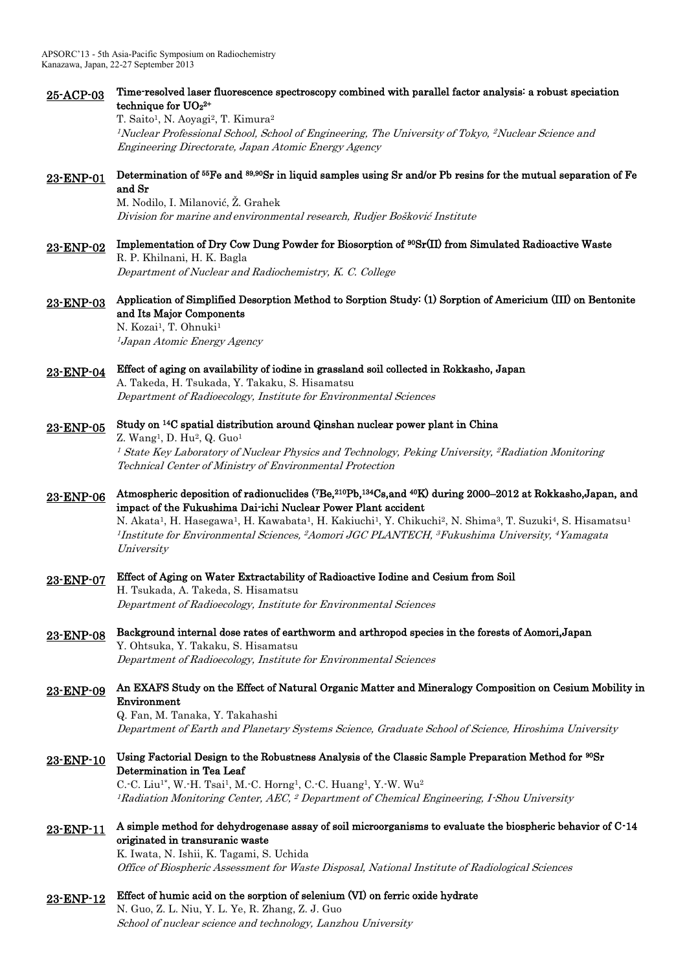| 25-ACP-03 | Time-resolved laser fluorescence spectroscopy combined with parallel factor analysis: a robust speciation<br>technique for $UO_2^{2+}$<br>T. Saito <sup>1</sup> , N. Aoyagi <sup>2</sup> , T. Kimura <sup>2</sup><br><sup>1</sup> Nuclear Professional School, School of Engineering, The University of Tokyo, <sup>2</sup> Nuclear Science and<br>Engineering Directorate, Japan Atomic Energy Agency                                                                                                                                                                                             |
|-----------|----------------------------------------------------------------------------------------------------------------------------------------------------------------------------------------------------------------------------------------------------------------------------------------------------------------------------------------------------------------------------------------------------------------------------------------------------------------------------------------------------------------------------------------------------------------------------------------------------|
| 23-ENP-01 | Determination of 55Fe and 89,90Sr in liquid samples using Sr and/or Pb resins for the mutual separation of Fe<br>and Sr<br>M. Nodilo, I. Milanović, Ž. Grahek<br>Division for marine and environmental research, Rudjer Bošković Institute                                                                                                                                                                                                                                                                                                                                                         |
| 23-ENP-02 | Implementation of Dry Cow Dung Powder for Biosorption of <sup>90</sup> Sr(II) from Simulated Radioactive Waste<br>R. P. Khilnani, H. K. Bagla<br>Department of Nuclear and Radiochemistry, K. C. College                                                                                                                                                                                                                                                                                                                                                                                           |
| 23-ENP-03 | Application of Simplified Desorption Method to Sorption Study: (1) Sorption of Americium (III) on Bentonite<br>and Its Major Components<br>N. Kozai <sup>1</sup> , T. Ohnuki <sup>1</sup><br><sup>1</sup> Japan Atomic Energy Agency                                                                                                                                                                                                                                                                                                                                                               |
|           |                                                                                                                                                                                                                                                                                                                                                                                                                                                                                                                                                                                                    |
| 23-ENP-04 | Effect of aging on availability of iodine in grassland soil collected in Rokkasho, Japan<br>A. Takeda, H. Tsukada, Y. Takaku, S. Hisamatsu                                                                                                                                                                                                                                                                                                                                                                                                                                                         |
|           | Department of Radioecology, Institute for Environmental Sciences                                                                                                                                                                                                                                                                                                                                                                                                                                                                                                                                   |
| 23-ENP-05 | Study on <sup>14</sup> C spatial distribution around Qinshan nuclear power plant in China<br>Z. Wang <sup>1</sup> , D. Hu <sup>2</sup> , Q. Guo <sup>1</sup>                                                                                                                                                                                                                                                                                                                                                                                                                                       |
|           | <sup>1</sup> State Key Laboratory of Nuclear Physics and Technology, Peking University, <sup>2</sup> Radiation Monitoring<br>Technical Center of Ministry of Environmental Protection                                                                                                                                                                                                                                                                                                                                                                                                              |
| 23-ENP-06 | Atmospheric deposition of radionuclides (7Be, <sup>210</sup> Pb, <sup>134</sup> Cs,and <sup>40</sup> K) during 2000–2012 at Rokkasho, Japan, and<br>impact of the Fukushima Dai-ichi Nuclear Power Plant accident<br>N. Akata <sup>1</sup> , H. Hasegawa <sup>1</sup> , H. Kawabata <sup>1</sup> , H. Kakiuchi <sup>1</sup> , Y. Chikuchi <sup>2</sup> , N. Shima <sup>3</sup> , T. Suzuki <sup>4</sup> , S. Hisamatsu <sup>1</sup><br><sup>1</sup> Institute for Environmental Sciences, <sup>2</sup> Aomori JGC PLANTECH, <sup>3</sup> Fukushima University, <sup>4</sup> Yamagata<br>University |
| 23-ENP-07 | Effect of Aging on Water Extractability of Radioactive Iodine and Cesium from Soil<br>H. Tsukada, A. Takeda, S. Hisamatsu<br>Department of Radioecology, Institute for Environmental Sciences                                                                                                                                                                                                                                                                                                                                                                                                      |
| 23-ENP-08 | Background internal dose rates of earthworm and arthropod species in the forests of Aomori, Japan<br>Y. Ohtsuka, Y. Takaku, S. Hisamatsu<br>Department of Radioecology, Institute for Environmental Sciences                                                                                                                                                                                                                                                                                                                                                                                       |
| 23-ENP-09 | An EXAFS Study on the Effect of Natural Organic Matter and Mineralogy Composition on Cesium Mobility in<br>Environment<br>Q. Fan, M. Tanaka, Y. Takahashi<br>Department of Earth and Planetary Systems Science, Graduate School of Science, Hiroshima University                                                                                                                                                                                                                                                                                                                                   |
| 23-ENP-10 | Using Factorial Design to the Robustness Analysis of the Classic Sample Preparation Method for <sup>90</sup> Sr<br>Determination in Tea Leaf<br>C. C. Liu <sup>1*</sup> , W. H. Tsai <sup>1</sup> , M. C. Horng <sup>1</sup> , C. C. Huang <sup>1</sup> , Y. W. Wu <sup>2</sup><br><sup>1</sup> Radiation Monitoring Center, AEC, <sup>2</sup> Department of Chemical Engineering, I Shou University                                                                                                                                                                                               |
| 23-ENP-11 | A simple method for dehydrogenase assay of soil microorganisms to evaluate the biospheric behavior of C-14<br>originated in transuranic waste<br>K. Iwata, N. Ishii, K. Tagami, S. Uchida<br>Office of Biospheric Assessment for Waste Disposal, National Institute of Radiological Sciences                                                                                                                                                                                                                                                                                                       |
| 23-ENP-12 | Effect of humic acid on the sorption of selenium (VI) on ferric oxide hydrate<br>N. Guo, Z. L. Niu, Y. L. Ye, R. Zhang, Z. J. Guo                                                                                                                                                                                                                                                                                                                                                                                                                                                                  |
|           | School of nuclear science and technology, Lanzhou University                                                                                                                                                                                                                                                                                                                                                                                                                                                                                                                                       |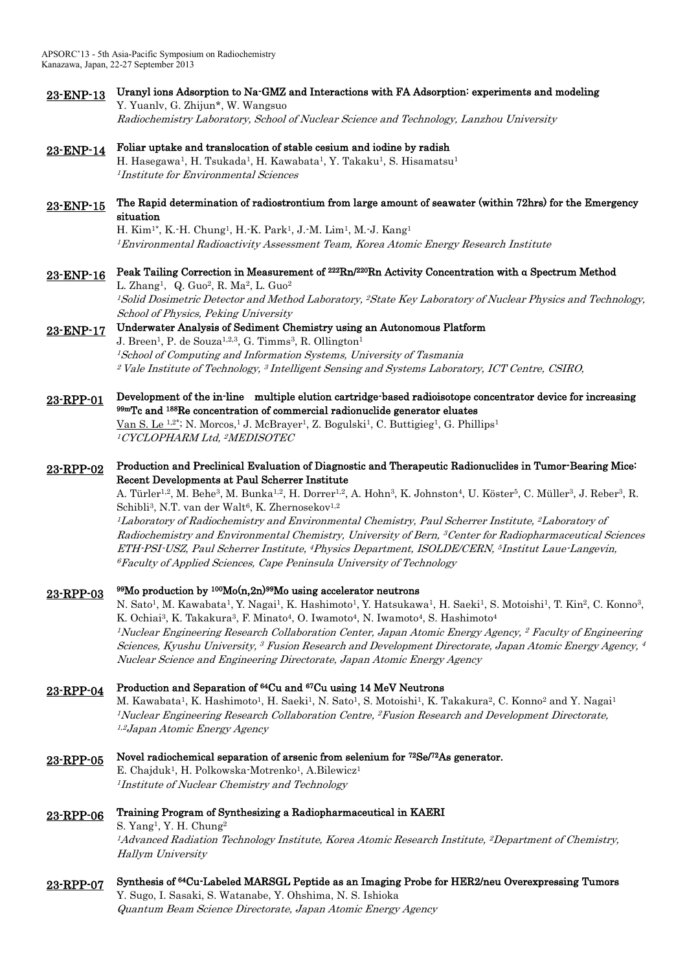- 23-ENP-13 Uranyl ions Adsorption to Na-GMZ and Interactions with FA Adsorption: experiments and modeling Y. Yuanlv, G. Zhijun\*, W. Wangsuo Radiochemistry Laboratory, School of Nuclear Science and Technology, Lanzhou University
- 23-ENP-14 Foliar uptake and translocation of stable cesium and iodine by radish H. Hasegawa<sup>1</sup>, H. Tsukada<sup>1</sup>, H. Kawabata<sup>1</sup>, Y. Takaku<sup>1</sup>, S. Hisamatsu<sup>1</sup> <sup>1</sup> Institute for Environmental Sciences
- 23-ENP-15 The Rapid determination of radiostrontium from large amount of seawater (within 72hrs) for the Emergency situation

H. Kim<sup>1\*</sup>, K.-H. Chung<sup>1</sup>, H.-K. Park<sup>1</sup>, J.-M. Lim<sup>1</sup>, M.-J. Kang<sup>1</sup> <sup>1</sup>Environmental Radioactivity Assessment Team, Korea Atomic Energy Research Institute

#### 23-ENP-16 Peak Tailing Correction in Measurement of <sup>222</sup>Rn/<sup>220</sup>Rn Activity Concentration with α Spectrum Method

L. Zhang<sup>1</sup>, Q. Guo<sup>2</sup>, R. Ma<sup>2</sup>, L. Guo<sup>2</sup> <sup>1</sup>Solid Dosimetric Detector and Method Laboratory, <sup>2</sup>State Key Laboratory of Nuclear Physics and Technology, School of Physics, Peking University

# 23-ENP-17 Underwater Analysis of Sediment Chemistry using an Autonomous Platform

J. Breen<sup>1</sup>, P. de Souza<sup>1,2,3</sup>, G. Timms<sup>3</sup>, R. Ollington<sup>1</sup> <sup>1</sup>School of Computing and Information Systems, University of Tasmania  $^2$  Vale Institute of Technology,  $^3$  Intelligent Sensing and Systems Laboratory, ICT Centre, CSIRO,

### 23-RPP-01 Development of the in-line multiple elution cartridge-based radioisotope concentrator device for increasing 99mTc and <sup>188</sup>Re concentration of commercial radionuclide generator eluates

Van S. Le <sup>1,2\*</sup>; N. Morcos,<sup>1</sup> J. McBrayer<sup>1</sup>, Z. Bogulski<sup>1</sup>, C. Buttigieg<sup>1</sup>, G. Phillips<sup>1</sup> <sup>1</sup>CYCLOPHARM Ltd, <sup>2</sup>MEDISOTEC

### 23-RPP-02 Production and Preclinical Evaluation of Diagnostic and Therapeutic Radionuclides in Tumor-Bearing Mice: Recent Developments at Paul Scherrer Institute

A. Türler<sup>1,2</sup>, M. Behe<sup>3</sup>, M. Bunka<sup>1,2</sup>, H. Dorrer<sup>1,2</sup>, A. Hohn<sup>3</sup>, K. Johnston<sup>4</sup>, U. Köster<sup>5</sup>, C. Müller<sup>3</sup>, J. Reber<sup>3</sup>, R. Schibli<sup>3</sup>, N.T. van der Walt<sup>6</sup>, K. Zhernosekov<sup>1,2</sup>

 $^l$ Laboratory of Radiochemistry and Environmental Chemistry, Paul Scherrer Institute,  $^2$ Laboratory of Radiochemistry and Environmental Chemistry, University of Bern, <sup>3</sup>Center for Radiopharmaceutical Sciences ETH-PSI-USZ, Paul Scherrer Institute, <sup>4</sup>Physics Department, ISOLDE/CERN, <sup>5</sup> Institut Laue-Langevin, <sup>6</sup>Faculty of Applied Sciences, Cape Peninsula University of Technology

#### 23-RPP-03 <sup>99</sup>Mo production by <sup>100</sup>Mo(n,2n)<sup>99</sup>Mo using accelerator neutrons

N. Sato<sup>1</sup>, M. Kawabata<sup>1</sup>, Y. Nagai<sup>1</sup>, K. Hashimoto<sup>1</sup>, Y. Hatsukawa<sup>1</sup>, H. Saeki<sup>1</sup>, S. Motoishi<sup>1</sup>, T. Kin<sup>2</sup>, C. Konno<sup>3</sup>, K. Ochiai<sup>3</sup>, K. Takakura<sup>3</sup>, F. Minato<sup>4</sup>, O. Iwamoto<sup>4</sup>, N. Iwamoto<sup>4</sup>, S. Hashimoto<sup>4</sup> <sup>1</sup>Nuclear Engineering Research Collaboration Center, Japan Atomic Energy Agency, <sup>2</sup> Faculty of Engineering Sciences, Kyushu University, <sup>3</sup> Fusion Research and Development Directorate, Japan Atomic Energy Agency, 4 Nuclear Science and Engineering Directorate, Japan Atomic Energy Agency

#### 23-RPP-04 Production and Separation of <sup>64</sup>Cu and <sup>67</sup>Cu using 14 MeV Neutrons

M. Kawabata<sup>1</sup>, K. Hashimoto<sup>1</sup>, H. Saeki<sup>1</sup>, N. Sato<sup>1</sup>, S. Motoishi<sup>1</sup>, K. Takakura<sup>2</sup>, C. Konno<sup>2</sup> and Y. Nagai<sup>1</sup> <sup>1</sup>Nuclear Engineering Research Collaboration Centre, <sup>2</sup>Fusion Research and Development Directorate, 1,2 Japan Atomic Energy Agency

23-RPP-05 Novel radiochemical separation of arsenic from selenium for <sup>72</sup>Se/<sup>72</sup>As generator.

E. Chajduk<sup>1</sup>, H. Polkowska-Motrenko<sup>1</sup>, A.Bilewicz<sup>1</sup> <sup>1</sup>Institute of Nuclear Chemistry and Technology

#### 23-RPP-06 Training Program of Synthesizing a Radiopharmaceutical in KAERI

S. Yang<sup>1</sup>, Y. H. Chung<sup>2</sup> <sup>1</sup>Advanced Radiation Technology Institute, Korea Atomic Research Institute, <sup>2</sup>Department of Chemistry, Hallym University

### 23-RPP-07 Synthesis of <sup>64</sup>Cu-Labeled MARSGL Peptide as an Imaging Probe for HER2/neu Overexpressing Tumors Y. Sugo, I. Sasaki, S. Watanabe, Y. Ohshima, N. S. Ishioka Quantum Beam Science Directorate, Japan Atomic Energy Agency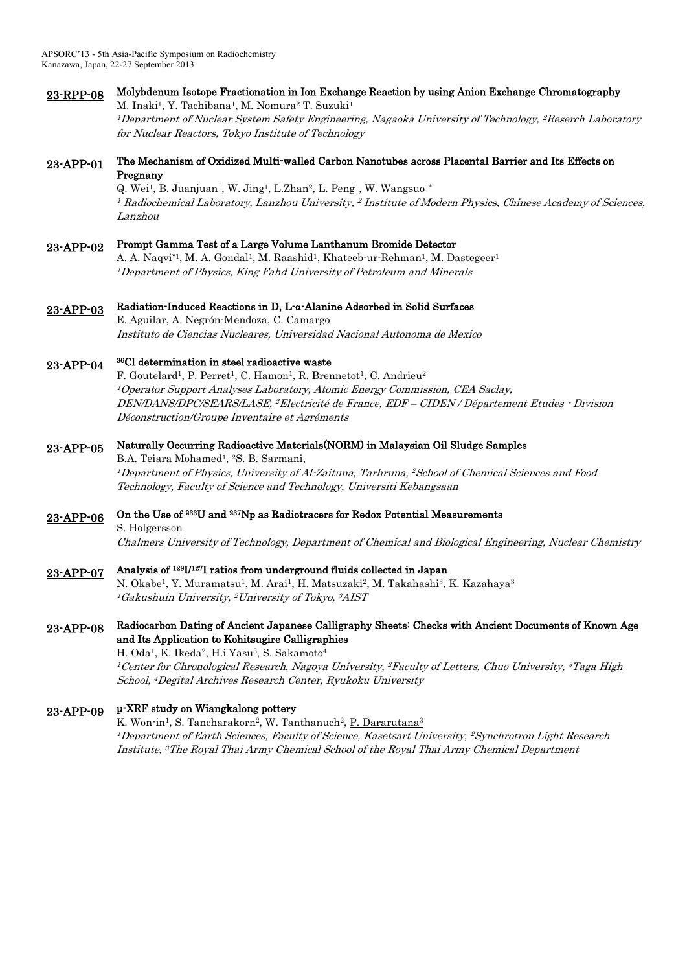## 23-RPP-08 Molybdenum Isotope Fractionation in Ion Exchange Reaction by using Anion Exchange Chromatography M. Inaki<sup>1</sup>, Y. Tachibana<sup>1</sup>, M. Nomura<sup>2</sup> T. Suzuki<sup>1</sup>

<sup>1</sup>Department of Nuclear System Safety Engineering, Nagaoka University of Technology, <sup>2</sup>Reserch Laboratory for Nuclear Reactors, Tokyo Institute of Technology

### 23-APP-01 The Mechanism of Oxidized Multi-walled Carbon Nanotubes across Placental Barrier and Its Effects on Pregnany

Q. Wei<sup>1</sup>, B. Juanjuan<sup>1</sup>, W. Jing<sup>1</sup>, L.Zhan<sup>2</sup>, L. Peng<sup>1</sup>, W. Wangsuo<sup>1\*</sup>  $^{\rm I}$  Radiochemical Laboratory, Lanzhou University,  $^{\rm 2}$  Institute of Modern Physics, Chinese Academy of Sciences, Lanzhou

#### 23-APP-02 Prompt Gamma Test of a Large Volume Lanthanum Bromide Detector

A. A. Naqvi\*1, M. A. Gondal<sup>1</sup>, M. Raashid<sup>1</sup>, Khateeb-ur-Rehman<sup>1</sup>, M. Dastegeer<sup>1</sup> <sup>1</sup>Department of Physics, King Fahd University of Petroleum and Minerals

# 23-APP-03 Radiation-Induced Reactions in D, L-α-Alanine Adsorbed in Solid Surfaces

E. Aguilar, A. Negrón-Mendoza, C. Camargo Instituto de Ciencias Nucleares, Universidad Nacional Autonoma de Mexico

#### 23-APP-04 <sup>36</sup>Cl determination in steel radioactive waste

F. Goutelard<sup>1</sup>, P. Perret<sup>1</sup>, C. Hamon<sup>1</sup>, R. Brennetot<sup>1</sup>, C. Andrieu<sup>2</sup> <sup>1</sup>Operator Support Analyses Laboratory, Atomic Energy Commission, CEA Saclay, DEN/DANS/DPC/SEARS/LASE, <sup>2</sup>Electricité de France, EDF – CIDEN / Département Etudes - Division Déconstruction/Groupe Inventaire et Agréments

# 23-APP-05 Naturally Occurring Radioactive Materials(NORM) in Malaysian Oil Sludge Samples

B.A. Teiara Mohamed<sup>1</sup>, <sup>2</sup>S. B. Sarmani, <sup>1</sup>Department of Physics, University of Al-Zaituna, Tarhruna, <sup>2</sup>School of Chemical Sciences and Food Technology, Faculty of Science and Technology, Universiti Kebangsaan

# 23-APP-06 On the Use of <sup>233</sup>U and <sup>237</sup>Np as Radiotracers for Redox Potential Measurements

S. Holgersson

Chalmers University of Technology, Department of Chemical and Biological Engineering, Nuclear Chemistry

# 23-APP-07 Analysis of <sup>129</sup>I/<sup>127</sup>I ratios from underground fluids collected in Japan

N. Okabe<sup>1</sup>, Y. Muramatsu<sup>1</sup>, M. Arai<sup>1</sup>, H. Matsuzaki<sup>2</sup>, M. Takahashi<sup>3</sup>, K. Kazahaya<sup>3</sup> <sup>1</sup>Gakushuin University, <sup>2</sup>University of Tokyo, <sup>3</sup>AIST

## 23-APP-08 Radiocarbon Dating of Ancient Japanese Calligraphy Sheets: Checks with Ancient Documents of Known Age and Its Application to Kohitsugire Calligraphies

H. Oda<sup>1</sup>, K. Ikeda<sup>2</sup>, H.i Yasu<sup>3</sup>, S. Sakamoto<sup>4</sup> <sup>1</sup>Center for Chronological Research, Nagoya University, <sup>2</sup>Faculty of Letters, Chuo University, <sup>3</sup>Taga High School, <sup>4</sup>Degital Archives Research Center, Ryukoku University

#### 23-APP-09 μ-XRF study on Wiangkalong pottery

K. Won-in<sup>1</sup>, S. Tancharakorn<sup>2</sup>, W. Tanthanuch<sup>2</sup>, <u>P. Dararutana<sup>3</sup></u> <sup>1</sup>Department of Earth Sciences, Faculty of Science, Kasetsart University, <sup>2</sup>Synchrotron Light Research Institute, <sup>3</sup>The Royal Thai Army Chemical School of the Royal Thai Army Chemical Department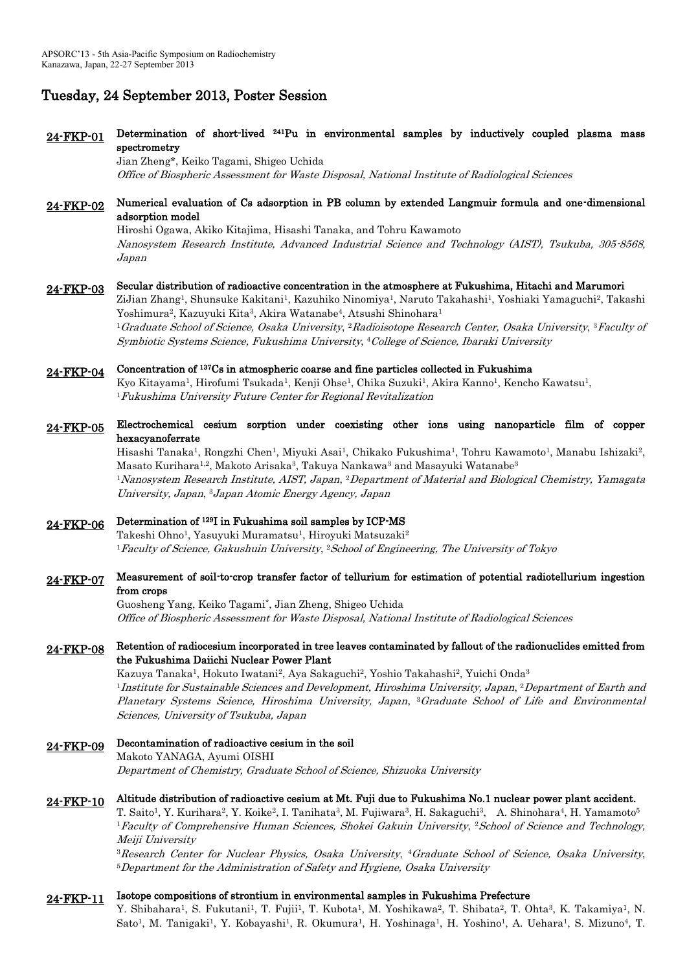# Tuesday, 24 September 2013, Poster Session

## 24-FKP-01 Determination of short-lived <sup>241</sup>Pu in environmental samples by inductively coupled plasma mass spectrometry

Jian Zheng\*, Keiko Tagami, Shigeo Uchida Office of Biospheric Assessment for Waste Disposal, National Institute of Radiological Sciences

## 24-FKP-02 Numerical evaluation of Cs adsorption in PB column by extended Langmuir formula and one-dimensional adsorption model

Hiroshi Ogawa, Akiko Kitajima, Hisashi Tanaka, and Tohru Kawamoto Nanosystem Research Institute, Advanced Industrial Science and Technology (AIST), Tsukuba, 305-8568, Japan

#### 24-FKP-03 Secular distribution of radioactive concentration in the atmosphere at Fukushima, Hitachi and Marumori

ZiJian Zhang<sup>1</sup>, Shunsuke Kakitani<sup>1</sup>, Kazuhiko Ninomiya<sup>1</sup>, Naruto Takahashi<sup>1</sup>, Yoshiaki Yamaguchi<sup>2</sup>, Takashi Yoshimura<sup>2</sup>, Kazuyuki Kita<sup>3</sup>, Akira Watanabe<sup>4</sup>, Atsushi Shinohara<sup>1</sup> <sup>1</sup>Graduate School of Science, Osaka University, <sup>2</sup>Radioisotope Research Center, Osaka University, <sup>3</sup>Faculty of Symbiotic Systems Science, Fukushima University, <sup>4</sup>College of Science, Ibaraki University

# 24-FKP-04 Concentration of <sup>137</sup>Cs in atmospheric coarse and fine particles collected in Fukushima

Kyo Kitayama<sup>1</sup>, Hirofumi Tsukada<sup>1</sup>, Kenji Ohse<sup>1</sup>, Chika Suzuki<sup>1</sup>, Akira Kanno<sup>1</sup>, Kencho Kawatsu<sup>1</sup>, <sup>1</sup>Fukushima University Future Center for Regional Revitalization

## 24-FKP-05 Electrochemical cesium sorption under coexisting other ions using nanoparticle film of copper hexacyanoferrate

Hisashi Tanaka<sup>1</sup>, Rongzhi Chen<sup>1</sup>, Miyuki Asai<sup>1</sup>, Chikako Fukushima<sup>1</sup>, Tohru Kawamoto<sup>1</sup>, Manabu Ishizaki<sup>2</sup>, Masato Kurihara<sup>1,2</sup>, Makoto Arisaka<sup>3</sup>, Takuya Nankawa<sup>3</sup> and Masayuki Watanabe<sup>3</sup> <sup>1</sup>Nanosystem Research Institute, AIST, Japan, <sup>2</sup>Department of Material and Biological Chemistry, Yamagata University, Japan, <sup>3</sup>Japan Atomic Energy Agency, Japan

# 24-FKP-06 Determination of <sup>129</sup>I in Fukushima soil samples by ICP-MS

Takeshi Ohno<sup>1</sup>, Yasuyuki Muramatsu<sup>1</sup>, Hiroyuki Matsuzaki<sup>2</sup> <sup>1</sup> Faculty of Science, Gakushuin University, <sup>2</sup> School of Engineering, The University of Tokyo

## 24-FKP-07 Measurement of soil-to-crop transfer factor of tellurium for estimation of potential radiotellurium ingestion from crops

Guosheng Yang, Keiko Tagami\* , Jian Zheng, Shigeo Uchida Office of Biospheric Assessment for Waste Disposal, National Institute of Radiological Sciences

# 24-FKP-08 Retention of radiocesium incorporated in tree leaves contaminated by fallout of the radionuclides emitted from the Fukushima Daiichi Nuclear Power Plant

Kazuya Tanaka<sup>1</sup>, Hokuto Iwatani<sup>2</sup>, Aya Sakaguchi<sup>2</sup>, Yoshio Takahashi<sup>2</sup>, Yuichi Onda<sup>3</sup> <sup>1</sup>Institute for Sustainable Sciences and Development, Hiroshima University, Japan, <sup>2</sup>Department of Earth and Planetary Systems Science, Hiroshima University, Japan, 3Graduate School of Life and Environmental Sciences, University of Tsukuba, Japan

# 24-FKP-09 Decontamination of radioactive cesium in the soil

Makoto YANAGA, Ayumi OISHI Department of Chemistry, Graduate School of Science, Shizuoka University

# 24-FKP-10 Altitude distribution of radioactive cesium at Mt. Fuji due to Fukushima No.1 nuclear power plant accident.

T. Saito<sup>1</sup>, Y. Kurihara<sup>2</sup>, Y. Koike<sup>2</sup>, I. Tanihata<sup>3</sup>, M. Fujiwara<sup>3</sup>, H. Sakaguchi<sup>3</sup>, A. Shinohara<sup>4</sup>, H. Yamamoto<sup>5</sup> <sup>1</sup>Faculty of Comprehensive Human Sciences, Shokei Gakuin University, <sup>2</sup>School of Science and Technology, Meiji University

 ${}^{3}$ Research Center for Nuclear Physics, Osaka University,  ${}^{4}$ Graduate School of Science, Osaka University, <sup>5</sup>Department for the Administration of Safety and Hygiene, Osaka University

#### 24-FKP-11 Isotope compositions of strontium in environmental samples in Fukushima Prefecture

Y. Shibahara<sup>1</sup>, S. Fukutani<sup>1</sup>, T. Fujii<sup>1</sup>, T. Kubota<sup>1</sup>, M. Yoshikawa<sup>2</sup>, T. Shibata<sup>2</sup>, T. Ohta<sup>3</sup>, K. Takamiya<sup>1</sup>, N. Sato<sup>1</sup>, M. Tanigaki<sup>1</sup>, Y. Kobayashi<sup>1</sup>, R. Okumura<sup>1</sup>, H. Yoshinaga<sup>1</sup>, H. Yoshino<sup>1</sup>, A. Uehara<sup>1</sup>, S. Mizuno<sup>4</sup>, T.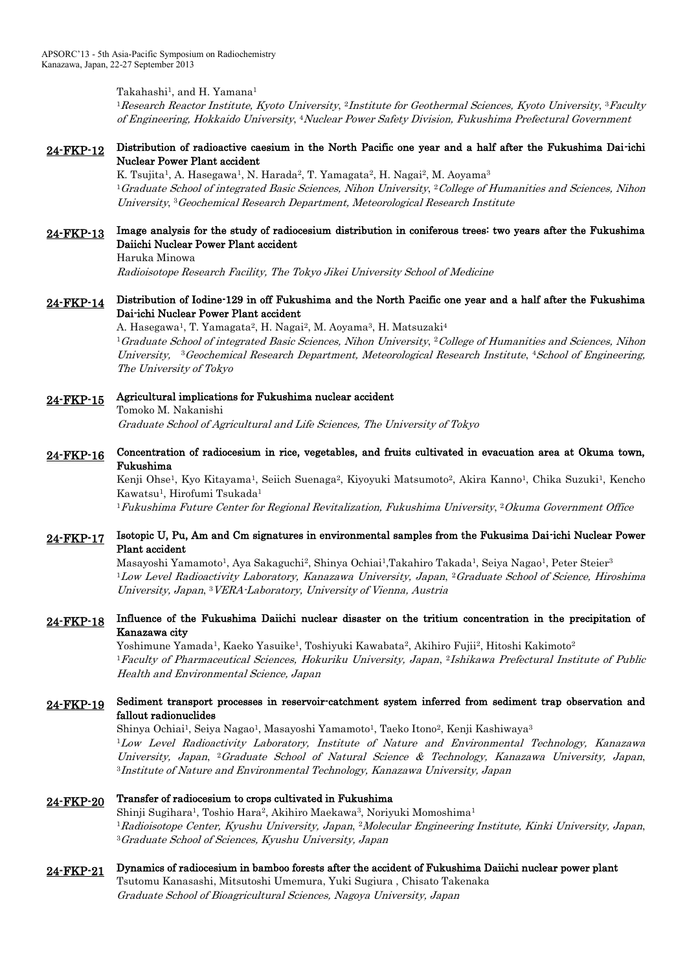Takahashi $^1$ , and H. Yamana $^1$ 

 $^1$ Research Reactor Institute, Kyoto University,  $^2$ Institute for Geothermal Sciences, Kyoto University,  $^3$ Faculty of Engineering, Hokkaido University, <sup>4</sup>Nuclear Power Safety Division, Fukushima Prefectural Government

### 24-FKP-12 Distribution of radioactive caesium in the North Pacific one year and a half after the Fukushima Dai-ichi Nuclear Power Plant accident

K. Tsujita<sup>1</sup>, A. Hasegawa<sup>1</sup>, N. Harada<sup>2</sup>, T. Yamagata<sup>2</sup>, H. Nagai<sup>2</sup>, M. Aoyama<sup>3</sup>  $^1G$ raduate School of integrated Basic Sciences, Nihon University,  $^2C$ ollege of Humanities and Sciences, Nihon University, <sup>3</sup>Geochemical Research Department, Meteorological Research Institute

### 24-FKP-13 Image analysis for the study of radiocesium distribution in coniferous trees: two years after the Fukushima Daiichi Nuclear Power Plant accident

Haruka Minowa

Radioisotope Research Facility, The Tokyo Jikei University School of Medicine

## 24-FKP-14 Distribution of Iodine-129 in off Fukushima and the North Pacific one year and a half after the Fukushima Dai-ichi Nuclear Power Plant accident

A. Hasegawa<sup>1</sup>, T. Yamagata<sup>2</sup>, H. Nagai<sup>2</sup>, M. Aoyama<sup>3</sup>, H. Matsuzaki<sup>4</sup>  $^1G$ raduate School of integrated Basic Sciences, Nihon University,  $^2C$ ollege of Humanities and Sciences, Nihon University, <sup>3</sup>Geochemical Research Department, Meteorological Research Institute, <sup>4</sup>School of Engineering, The University of Tokyo

# 24-FKP-15 Agricultural implications for Fukushima nuclear accident Tomoko M. Nakanishi

Graduate School of Agricultural and Life Sciences, The University of Tokyo

## 24-FKP-16 Concentration of radiocesium in rice, vegetables, and fruits cultivated in evacuation area at Okuma town, Fukushima

Kenji Ohse<sup>1</sup>, Kyo Kitayama<sup>1</sup>, Seiich Suenaga<sup>2</sup>, Kiyoyuki Matsumoto<sup>2</sup>, Akira Kanno<sup>1</sup>, Chika Suzuki<sup>1</sup>, Kencho Kawatsu<sup>1</sup>, Hirofumi Tsukada<sup>1</sup>

 $^1F$ ukushima Future Center for Regional Revitalization, Fukushima University,  $^2O$ kuma Government Office

### 24-FKP-17 Isotopic U, Pu, Am and Cm signatures in environmental samples from the Fukusima Dai-ichi Nuclear Power Plant accident

Masayoshi Yamamoto<sup>1</sup>, Aya Sakaguchi<sup>2</sup>, Shinya Ochiai<sup>1</sup>,Takahiro Takada<sup>1</sup>, Seiya Nagao<sup>1</sup>, Peter Steier<sup>3</sup>  $1$ Low Level Radioactivity Laboratory, Kanazawa University, Japan,  $2$ Graduate School of Science, Hiroshima University, Japan, <sup>3</sup>VERA-Laboratory, University of Vienna, Austria

### 24-FKP-18 Influence of the Fukushima Daiichi nuclear disaster on the tritium concentration in the precipitation of Kanazawa city

Yoshimune Yamada<sup>1</sup>, Kaeko Yasuike<sup>1</sup>, Toshiyuki Kawabata<sup>2</sup>, Akihiro Fujii<sup>2</sup>, Hitoshi Kakimoto<sup>2</sup> <sup>1</sup>Faculty of Pharmaceutical Sciences, Hokuriku University, Japan, 2Ishikawa Prefectural Institute of Public Health and Environmental Science, Japan

### 24-FKP-19 Sediment transport processes in reservoir-catchment system inferred from sediment trap observation and fallout radionuclides

Shinya Ochiai<sup>1</sup>, Seiya Nagao<sup>1</sup>, Masayoshi Yamamoto<sup>1</sup>, Taeko Itono<sup>2</sup>, Kenji Kashiwaya<sup>3</sup> <sup>1</sup>Low Level Radioactivity Laboratory, Institute of Nature and Environmental Technology, Kanazawa University, Japan, <sup>2</sup>Graduate School of Natural Science & Technology, Kanazawa University, Japan, <sup>3</sup>Institute of Nature and Environmental Technology, Kanazawa University, Japan

#### 24-FKP-20 Transfer of radiocesium to crops cultivated in Fukushima

Shinji Sugihara<sup>1</sup>, Toshio Hara<sup>2</sup>, Akihiro Maekawa<sup>3</sup>, Noriyuki Momoshima<sup>1</sup> <sup>1</sup> Radioisotope Center, Kyushu University, Japan, <sup>2</sup> Molecular Engineering Institute, Kinki University, Japan, <sup>3</sup>Graduate School of Sciences, Kyushu University, Japan

# 24-FKP-21 Dynamics of radiocesium in bamboo forests after the accident of Fukushima Daiichi nuclear power plant

Tsutomu Kanasashi, Mitsutoshi Umemura, Yuki Sugiura , Chisato Takenaka Graduate School of Bioagricultural Sciences, Nagoya University, Japan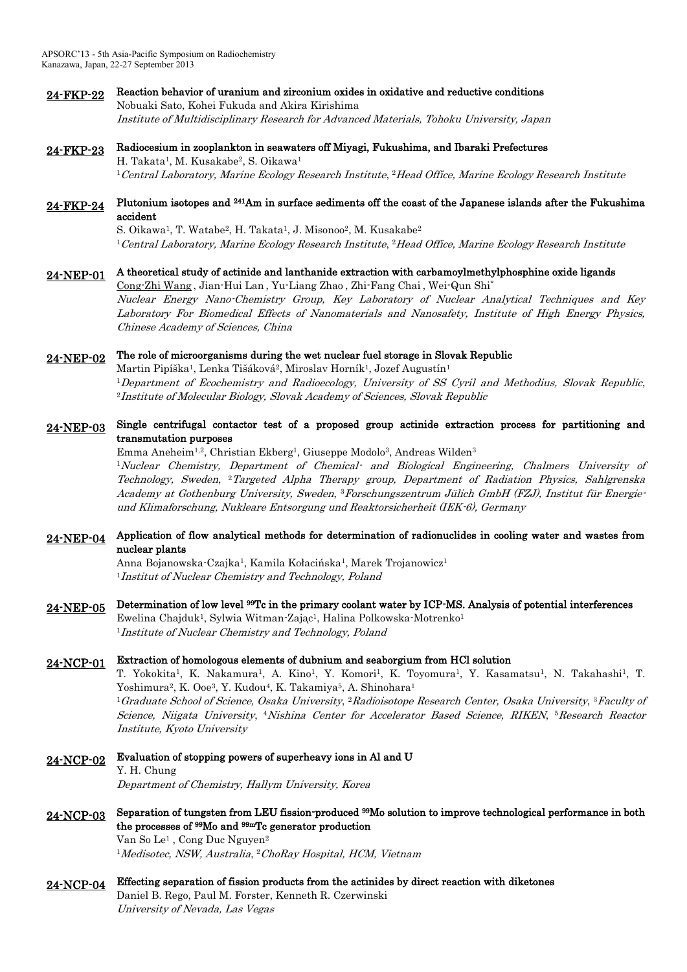- 24-FKP-22 Reaction behavior of uranium and zirconium oxides in oxidative and reductive conditions Nobuaki Sato, Kohei Fukuda and Akira Kirishima Institute of Multidisciplinary Research for Advanced Materials, Tohoku University, Japan
- 24-FKP-23 Radiocesium in zooplankton in seawaters off Miyagi, Fukushima, and Ibaraki Prefectures H. Takata<sup>1</sup>, M. Kusakabe<sup>2</sup>, S. Oikawa<sup>1</sup>  $^1$ Central Laboratory, Marine Ecology Research Institute,  $^2$ Head Office, Marine Ecology Research Institute

### 24-FKP-24 Plutonium isotopes and <sup>241</sup>Am in surface sediments off the coast of the Japanese islands after the Fukushima accident

S. Oikawa<sup>1</sup>, T. Watabe<sup>2</sup>, H. Takata<sup>1</sup>, J. Misonoo<sup>2</sup>, M. Kusakabe<sup>2</sup>  $^1$ Central Laboratory, Marine Ecology Research Institute,  $^2$ Head Office, Marine Ecology Research Institute

## 24-NEP-01 A theoretical study of actinide and lanthanide extraction with carbamoylmethylphosphine oxide ligands

Cong-Zhi Wang , Jian-Hui Lan , Yu-Liang Zhao , Zhi-Fang Chai , Wei-Qun Shi\* Nuclear Energy Nano-Chemistry Group, Key Laboratory of Nuclear Analytical Techniques and Key Laboratory For Biomedical Effects of Nanomaterials and Nanosafety, Institute of High Energy Physics, Chinese Academy of Sciences, China

#### 24-NEP-02 The role of microorganisms during the wet nuclear fuel storage in Slovak Republic

Martin Pipíška<sup>1</sup>, Lenka Tišáková<sup>2</sup>, Miroslav Horník<sup>1</sup>, Jozef Augustín<sup>1</sup> <sup>1</sup>Department of Ecochemistry and Radioecology, University of SS Cyril and Methodius, Slovak Republic, <sup>2</sup>Institute of Molecular Biology, Slovak Academy of Sciences, Slovak Republic

### 24-NEP-03 Single centrifugal contactor test of a proposed group actinide extraction process for partitioning and transmutation purposes

Emma Aneheim<sup>1,2</sup>, Christian Ekberg<sup>1</sup>, Giuseppe Modolo<sup>3</sup>, Andreas Wilden<sup>3</sup> <sup>1</sup>Nuclear Chemistry, Department of Chemical- and Biological Engineering, Chalmers University of Technology, Sweden, <sup>2</sup>Targeted Alpha Therapy group, Department of Radiation Physics, Sahlgrenska Academy at Gothenburg University, Sweden, 3Forschungszentrum Jülich GmbH (FZJ), Institut für Energieund Klimaforschung, Nukleare Entsorgung und Reaktorsicherheit (IEK-6), Germany

# 24-NEP-04 Application of flow analytical methods for determination of radionuclides in cooling water and wastes from nuclear plants

Anna Bojanowska-Czajka<sup>1</sup>, Kamila Kołacińska<sup>1</sup>, Marek Trojanowicz<sup>1</sup> <sup>1</sup>Institut of Nuclear Chemistry and Technology, Poland

24-NEP-05 Determination of low level <sup>99</sup>Tc in the primary coolant water by ICP-MS. Analysis of potential interferences Ewelina Chajduk<sup>1</sup>, Sylwia Witman-Zając<sup>1</sup>, Halina Polkowska-Motrenko<sup>1</sup> <sup>1</sup>Institute of Nuclear Chemistry and Technology, Poland

# 24-NCP-01 Extraction of homologous elements of dubnium and seaborgium from HCl solution

T. Yokokita<sup>1</sup>, K. Nakamura<sup>1</sup>, A. Kino<sup>1</sup>, Y. Komori<sup>1</sup>, K. Toyomura<sup>1</sup>, Y. Kasamatsu<sup>1</sup>, N. Takahashi<sup>1</sup>, T. Yoshimura<sup>2</sup>, K. Ooe<sup>3</sup>, Y. Kudou<sup>4</sup>, K. Takamiya<sup>5</sup>, A. Shinohara<sup>1</sup>  $^1G$ raduate School of Science, Osaka University,  $^2R$ adioisotope Research Center, Osaka University,  $^3F$ aculty of Science, Niigata University, <sup>4</sup>Nishina Center for Accelerator Based Science, RIKEN, 5Research Reactor Institute, Kyoto University

24-NCP-02 Evaluation of stopping powers of superheavy ions in Al and U Y. H. Chung Department of Chemistry, Hallym University, Korea

- 24-NCP-03 Separation of tungsten from LEU fission-produced <sup>99</sup>Mo solution to improve technological performance in both the processes of <sup>99</sup>Mo and 99mTc generator production Van So Le<sup>1</sup> , Cong Duc Nguyen<sup>2</sup> <sup>1</sup>Medisotec, NSW, Australia, <sup>2</sup>ChoRay Hospital, HCM, Vietnam
- 24-NCP-04 Effecting separation of fission products from the actinides by direct reaction with diketones Daniel B. Rego, Paul M. Forster, Kenneth R. Czerwinski University of Nevada, Las Vegas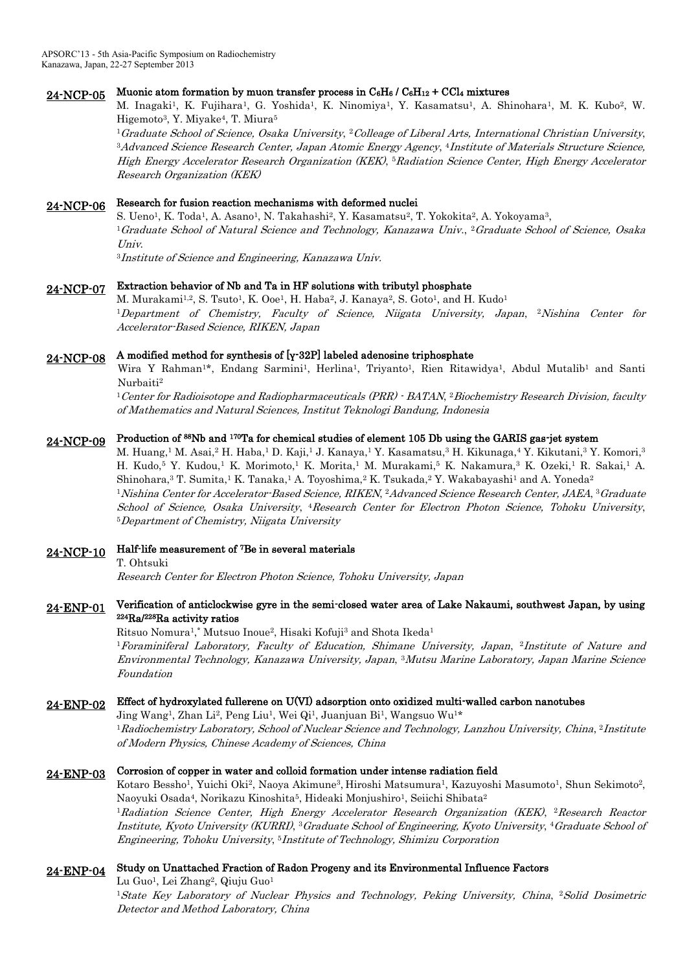# 24-NCP-05 Muonic atom formation by muon transfer process in C6H6 / C6H12 + CCl4 mixtures

M. Inagaki<sup>1</sup>, K. Fujihara<sup>1</sup>, G. Yoshida<sup>1</sup>, K. Ninomiya<sup>1</sup>, Y. Kasamatsu<sup>1</sup>, A. Shinohara<sup>1</sup>, M. K. Kubo<sup>2</sup>, W. Higemoto<sup>3</sup> , Y. Miyake<sup>4</sup> , T. Miura<sup>5</sup>

 $^1$ Graduate School of Science, Osaka University,  $^2$ Colleage of Liberal Arts, International Christian University, <sup>3</sup>Advanced Science Research Center, Japan Atomic Energy Agency, <sup>4</sup>Institute of Materials Structure Science, High Energy Accelerator Research Organization (KEK), <sup>5</sup>Radiation Science Center, High Energy Accelerator Research Organization (KEK)

# 24-NCP-06 Research for fusion reaction mechanisms with deformed nuclei

S. Ueno<sup>1</sup>, K. Toda<sup>1</sup>, A. Asano<sup>1</sup>, N. Takahashi<sup>2</sup>, Y. Kasamatsu<sup>2</sup>, T. Yokokita<sup>2</sup>, A. Yokoyama<sup>3</sup>, <sup>1</sup>Graduate School of Natural Science and Technology, Kanazawa Univ., <sup>2</sup>Graduate School of Science, Osaka Univ.

<sup>3</sup>Institute of Science and Engineering, Kanazawa Univ.

## 24-NCP-07 Extraction behavior of Nb and Ta in HF solutions with tributyl phosphate

M. Murakami<sup>1,2</sup>, S. Tsuto<sup>1</sup>, K. Ooe<sup>1</sup>, H. Haba<sup>2</sup>, J. Kanaya<sup>2</sup>, S. Goto<sup>1</sup>, and H. Kudo<sup>1</sup> <sup>1</sup>Department of Chemistry, Faculty of Science, Niigata University, Japan, 2Nishina Center for Accelerator-Based Science, RIKEN, Japan

# 24-NCP-08 A modified method for synthesis of [γ-32P] labeled adenosine triphosphate

Wira Y Rahman<sup>1\*</sup>, Endang Sarmini<sup>1</sup>, Herlina<sup>1</sup>, Triyanto<sup>1</sup>, Rien Ritawidya<sup>1</sup>, Abdul Mutalib<sup>1</sup> and Santi Nurbaiti<sup>2</sup>

 $^1$ Center for Radioisotope and Radiopharmaceuticals (PRR)  $\cdot$  BATAN,  $^2$ Biochemistry Research Division, faculty of Mathematics and Natural Sciences, Institut Teknologi Bandung, Indonesia

#### 24-NCP-09 Production of <sup>88</sup>Nb and <sup>170</sup>Ta for chemical studies of element 105 Db using the GARIS gas-jet system

M. Huang,<sup>1</sup> M. Asai,<sup>2</sup> H. Haba,<sup>1</sup> D. Kaji,<sup>1</sup> J. Kanaya,<sup>1</sup> Y. Kasamatsu,<sup>3</sup> H. Kikunaga,<sup>4</sup> Y. Kikutani,<sup>3</sup> Y. Komori,<sup>3</sup> H. Kudo,<sup>5</sup> Y. Kudou,<sup>1</sup> K. Morimoto,<sup>1</sup> K. Morita,<sup>1</sup> M. Murakami,<sup>5</sup> K. Nakamura,<sup>3</sup> K. Ozeki,<sup>1</sup> R. Sakai,<sup>1</sup> A. Shinohara,<sup>3</sup> T. Sumita,<sup>1</sup> K. Tanaka,<sup>1</sup> A. Toyoshima,<sup>2</sup> K. Tsukada,<sup>2</sup> Y. Wakabayashi<sup>1</sup> and A. Yoneda<sup>2</sup>  $^1$ Nishina Center for Accelerator-Based Science, RIKEN,  $^2$ Advanced Science Research Center, JAEA,  $^3$ Graduate School of Science, Osaka University, <sup>4</sup>Research Center for Electron Photon Science, Tohoku University, <sup>5</sup>Department of Chemistry, Niigata University

## 24-NCP-10 Half-life measurement of <sup>7</sup>Be in several materials

T. Ohtsuki

Research Center for Electron Photon Science, Tohoku University, Japan

## 24-ENP-01 Verification of anticlockwise gyre in the semi-closed water area of Lake Nakaumi, southwest Japan, by using <sup>224</sup>Ra/<sup>228</sup>Ra activity ratios

Ritsuo Nomura<sup>1</sup>,\* Mutsuo Inoue<sup>2</sup>, Hisaki Kofuji<sup>3</sup> and Shota Ikeda<sup>1</sup> <sup>1</sup> Foraminiferal Laboratory, Faculty of Education, Shimane University, Japan, <sup>2</sup>Institute of Nature and Environmental Technology, Kanazawa University, Japan, <sup>3</sup>Mutsu Marine Laboratory, Japan Marine Science Foundation

# 24-ENP-02 Effect of hydroxylated fullerene on U(VI) adsorption onto oxidized multi-walled carbon nanotubes

Jing Wang<sup>1</sup>, Zhan Li<sup>2</sup>, Peng Liu<sup>1</sup>, Wei Qi<sup>1</sup>, Juanjuan Bi<sup>1</sup>, Wangsuo Wu<sup>1</sup>\* <sup>1</sup> Radiochemistry Laboratory, School of Nuclear Science and Technology, Lanzhou University, China, <sup>2</sup> Institute of Modern Physics, Chinese Academy of Sciences, China

## 24-ENP-03 Corrosion of copper in water and colloid formation under intense radiation field

Kotaro Bessho<sup>1</sup>, Yuichi Oki<sup>2</sup>, Naoya Akimune<sup>3</sup>, Hiroshi Matsumura<sup>1</sup>, Kazuyoshi Masumoto<sup>1</sup>, Shun Sekimoto<sup>2</sup>, Naoyuki Osada<sup>4</sup>, Norikazu Kinoshita<sup>5</sup>, Hideaki Monjushiro<sup>1</sup>, Seiichi Shibata<sup>2</sup>

<sup>1</sup>Radiation Science Center, High Energy Accelerator Research Organization (KEK), 2Research Reactor Institute, Kyoto University (KURRI), <sup>3</sup>Graduate School of Engineering, Kyoto University, 4Graduate School of Engineering, Tohoku University, <sup>5</sup>Institute of Technology, Shimizu Corporation

#### 24-ENP-04 Study on Unattached Fraction of Radon Progeny and its Environmental Influence Factors

Lu Guo<sup>1</sup>, Lei Zhang<sup>2</sup>, Qiuju Guo<sup>1</sup> <sup>1</sup>State Key Laboratory of Nuclear Physics and Technology, Peking University, China, 2Solid Dosimetric Detector and Method Laboratory, China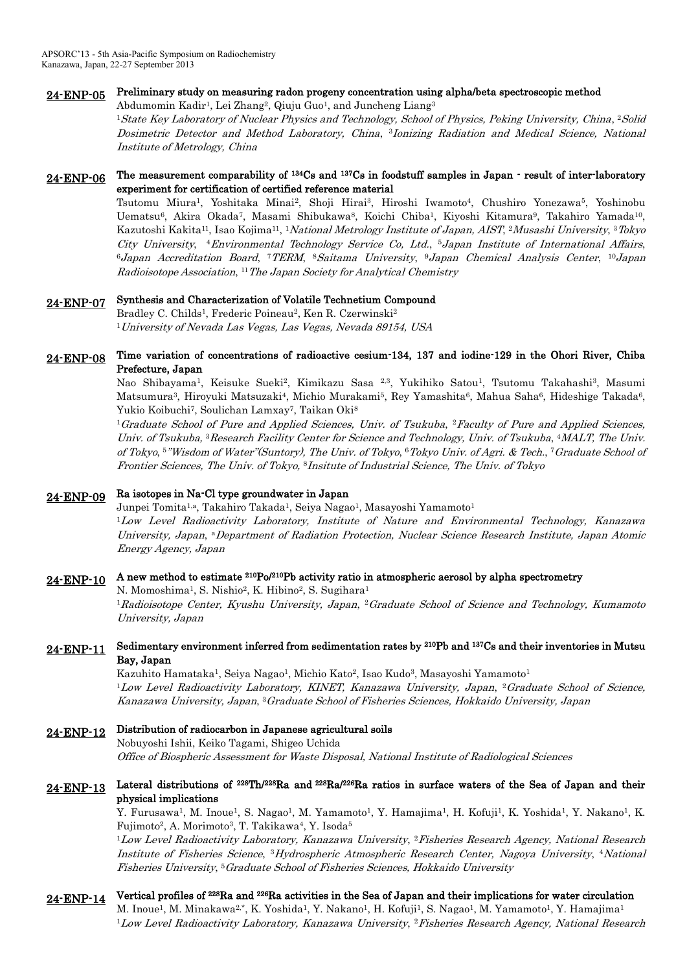### 24-ENP-05 Preliminary study on measuring radon progeny concentration using alpha/beta spectroscopic method

Abdumomin Kadir<sup>1</sup>, Lei Zhang<sup>2</sup>, Qiuju Guo<sup>1</sup>, and Juncheng Liang<sup>3</sup>

<sup>1</sup>State Key Laboratory of Nuclear Physics and Technology, School of Physics, Peking University, China, <sup>2</sup>Solid Dosimetric Detector and Method Laboratory, China, <sup>3</sup>Ionizing Radiation and Medical Science, National Institute of Metrology, China

### 24-ENP-06 The measurement comparability of <sup>134</sup>Cs and <sup>137</sup>Cs in foodstuff samples in Japan - result of inter-laboratory experiment for certification of certified reference material

Tsutomu Miura<sup>1</sup>, Yoshitaka Minai<sup>2</sup>, Shoji Hirai<sup>3</sup>, Hiroshi Iwamoto<sup>4</sup>, Chushiro Yonezawa<sup>5</sup>, Yoshinobu Uematsu<sup>6</sup>, Akira Okada<sup>7</sup>, Masami Shibukawa<sup>8</sup>, Koichi Chiba<sup>1</sup>, Kiyoshi Kitamura<sup>9</sup>, Takahiro Yamada<sup>10</sup>, Kazutoshi Kakita<sup>11</sup>, Isao Kojima<sup>11</sup>, <sup>1</sup>*National Metrology Institute of Japan, AIST*, <sup>2</sup>*Musashi University,* <sup>3</sup>*Tokyo* City University, <sup>4</sup>Environmental Technology Service Co, Ltd., <sup>5</sup>Japan Institute of International Affairs,  $^6$ Japan Accreditation Board, †TERM,  $^8$ Saitama University,  $^9$ Japan Chemical Analysis Center,  $^{10}$ Japan Radioisotope Association, <sup>11</sup>The Japan Society for Analytical Chemistry

### 24-ENP-07 Synthesis and Characterization of Volatile Technetium Compound

Bradley C. Childs<sup>1</sup>, Frederic Poineau<sup>2</sup>, Ken R. Czerwinski<sup>2</sup> <sup>1</sup>University of Nevada Las Vegas, Las Vegas, Nevada 89154, USA

### 24-ENP-08 Time variation of concentrations of radioactive cesium-134, 137 and iodine-129 in the Ohori River, Chiba Prefecture, Japan

Nao Shibayama<sup>1</sup>, Keisuke Sueki<sup>2</sup>, Kimikazu Sasa <sup>2,3</sup>, Yukihiko Satou<sup>1</sup>, Tsutomu Takahashi<sup>3</sup>, Masumi Matsumura<sup>3</sup>, Hiroyuki Matsuzaki<sup>4</sup>, Michio Murakami<sup>5</sup>, Rey Yamashita<sup>6</sup>, Mahua Saha<sup>6</sup>, Hideshige Takada<sup>6</sup>, Yukio Koibuchi<sup>7</sup>, Soulichan Lamxay<sup>7</sup>, Taikan Oki<sup>8</sup>

<sup>1</sup>Graduate School of Pure and Applied Sciences, Univ. of Tsukuba, <sup>2</sup>Faculty of Pure and Applied Sciences, Univ. of Tsukuba, <sup>3</sup>Research Facility Center for Science and Technology, Univ. of Tsukuba, <sup>4</sup>MALT, The Univ. of Tokyo, 5"Wisdom of Water"(Suntory), The Univ. of Tokyo, 6Tokyo Univ. of Agri. & Tech., <sup>7</sup> Graduate School of Frontier Sciences, The Univ. of Tokyo, <sup>8</sup>Insitute of Industrial Science, The Univ. of Tokyo

# 24-ENP-09 Ra isotopes in Na-Cl type groundwater in Japan

Junpei Tomita<sup>1,a</sup>, Takahiro Takada<sup>1</sup>, Seiya Nagao<sup>1</sup>, Masayoshi Yamamoto<sup>1</sup> <sup>1</sup>Low Level Radioactivity Laboratory, Institute of Nature and Environmental Technology, Kanazawa University, Japan, <sup>a</sup>Department of Radiation Protection, Nuclear Science Research Institute, Japan Atomic Energy Agency, Japan

# $24$ -ENP-10 A new method to estimate <sup>210</sup>Po/<sup>210</sup>Pb activity ratio in atmospheric aerosol by alpha spectrometry

N. Momoshima<sup>1</sup>, S. Nishio<sup>2</sup>, K. Hibino<sup>2</sup>, S. Sugihara<sup>1</sup>

<sup>1</sup>Radioisotope Center, Kyushu University, Japan, <sup>2</sup>Graduate School of Science and Technology, Kumamoto University, Japan

### 24-ENP-11 Sedimentary environment inferred from sedimentation rates by <sup>210</sup>Pb and <sup>137</sup>Cs and their inventories in Mutsu Bay, Japan

Kazuhito Hamataka<sup>1</sup>, Seiya Nagao<sup>1</sup>, Michio Kato<sup>2</sup>, Isao Kudo<sup>3</sup>, Masayoshi Yamamoto<sup>1</sup> <sup>1</sup>Low Level Radioactivity Laboratory, KINET, Kanazawa University, Japan, <sup>2</sup>Graduate School of Science, Kanazawa University, Japan, <sup>3</sup>Graduate School of Fisheries Sciences, Hokkaido University, Japan

### 24-ENP-12 Distribution of radiocarbon in Japanese agricultural soils Nobuyoshi Ishii, Keiko Tagami, Shigeo Uchida

Office of Biospheric Assessment for Waste Disposal, National Institute of Radiological Sciences

### 24-ENP-13 Lateral distributions of  $^{228}Th/^{228}Ra$  and  $^{226}Ra$  ratios in surface waters of the Sea of Japan and their physical implications

Y. Furusawa<sup>1</sup>, M. Inoue<sup>1</sup>, S. Nagao<sup>1</sup>, M. Yamamoto<sup>1</sup>, Y. Hamajima<sup>1</sup>, H. Kofuji<sup>1</sup>, K. Yoshida<sup>1</sup>, Y. Nakano<sup>1</sup>, K. Fujimoto<sup>2</sup>, A. Morimoto<sup>3</sup>, T. Takikawa<sup>4</sup>, Y. Isoda<sup>5</sup>

 $^1$ Low Level Radioactivity Laboratory, Kanazawa University,  $^2$ Fisheries Research Agency, National Research Institute of Fisheries Science, <sup>3</sup>Hydrospheric Atmospheric Research Center, Nagoya University, 4National Fisheries University, <sup>5</sup>Graduate School of Fisheries Sciences, Hokkaido University

# 24-ENP-14 Vertical profiles of <sup>228</sup>Ra and <sup>226</sup>Ra activities in the Sea of Japan and their implications for water circulation

M. Inoue<sup>1</sup>, M. Minakawa<sup>2,\*</sup>, K. Yoshida<sup>1</sup>, Y. Nakano<sup>1</sup>, H. Kofuji<sup>1</sup>, S. Nagao<sup>1</sup>, M. Yamamoto<sup>1</sup>, Y. Hamajima<sup>1</sup> <sup>1</sup>Low Level Radioactivity Laboratory, Kanazawa University, <sup>2</sup>Fisheries Research Agency, National Research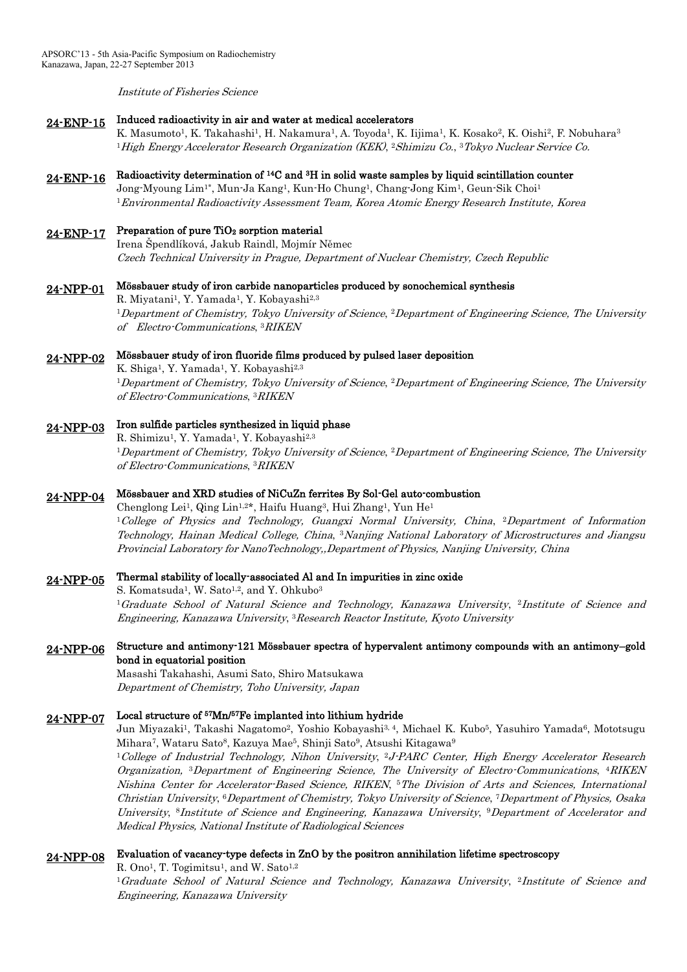Institute of Fisheries Science

#### 24-ENP-15 Induced radioactivity in air and water at medical accelerators

K. Masumoto<sup>1</sup>, K. Takahashi<sup>1</sup>, H. Nakamura<sup>1</sup>, A. Toyoda<sup>1</sup>, K. Iijima<sup>1</sup>, K. Kosako<sup>2</sup>, K. Oishi<sup>2</sup>, F. Nobuhara<sup>3</sup> <sup>1</sup>High Energy Accelerator Research Organization (KEK), <sup>2</sup>Shimizu Co., <sup>3</sup>Tokyo Nuclear Service Co.

## $24$ -ENP-16 Radioactivity determination of <sup>14</sup>C and <sup>3</sup>H in solid waste samples by liquid scintillation counter

Jong-Myoung Lim1\*, Mun-Ja Kang<sup>1</sup> , Kun-Ho Chung<sup>1</sup> , Chang-Jong Kim<sup>1</sup> , Geun-Sik Choi<sup>1</sup> <sup>1</sup>Environmental Radioactivity Assessment Team, Korea Atomic Energy Research Institute, Korea

#### 24-ENP-17 Preparation of pure TiO<sub>2</sub> sorption material

Irena Špendlíková, Jakub Raindl, Mojmír Němec Czech Technical University in Prague, Department of Nuclear Chemistry, Czech Republic

# 24-NPP-01 Mössbauer study of iron carbide nanoparticles produced by sonochemical synthesis

R. Miyatani<sup>1</sup>, Y. Yamada<sup>1</sup>, Y. Kobayashi<sup>2,3</sup> <sup>1</sup>Department of Chemistry, Tokyo University of Science, <sup>2</sup>Department of Engineering Science, The University of Electro-Communications, 3RIKEN

# 24-NPP-02 Mössbauer study of iron fluoride films produced by pulsed laser deposition

K. Shiga<sup>1</sup>, Y. Yamada<sup>1</sup>, Y. Kobayashi<sup>2,3</sup> <sup>1</sup>Department of Chemistry, Tokyo University of Science, <sup>2</sup>Department of Engineering Science, The University of Electro-Communications, 3RIKEN

#### 24-NPP-03 Iron sulfide particles synthesized in liquid phase

R. Shimizu<sup>1</sup>, Y. Yamada<sup>1</sup>, Y. Kobayashi<sup>2,3</sup> <sup>1</sup>Department of Chemistry, Tokyo University of Science, <sup>2</sup>Department of Engineering Science, The University of Electro-Communications, 3RIKEN

# 24-NPP-04 Mössbauer and XRD studies of NiCuZn ferrites By Sol-Gel auto-combustion

Chenglong Lei<sup>1</sup>, Qing Lin<sup>1,2\*</sup>, Haifu Huang<sup>3</sup>, Hui Zhang<sup>1</sup>, Yun He<sup>1</sup> <sup>1</sup>College of Physics and Technology, Guangxi Normal University, China, <sup>2</sup>Department of Information Technology, Hainan Medical College, China, <sup>3</sup>Nanjing National Laboratory of Microstructures and Jiangsu Provincial Laboratory for NanoTechnology,,Department of Physics, Nanjing University, China

#### 24-NPP-05 Thermal stability of locally-associated Al and In impurities in zinc oxide

S. Komatsuda<sup>1</sup>, W. Sato<sup>1,2</sup>, and Y. Ohkubo<sup>3</sup> <sup>1</sup>Graduate School of Natural Science and Technology, Kanazawa University, <sup>2</sup>Institute of Science and Engineering, Kanazawa University, <sup>3</sup>Research Reactor Institute, Kyoto University

### 24-NPP-06 Structure and antimony-121 Mössbauer spectra of hypervalent antimony compounds with an antimony–gold bond in equatorial position

Masashi Takahashi, Asumi Sato, Shiro Matsukawa Department of Chemistry, Toho University, Japan

#### 24-NPP-07 Local structure of <sup>57</sup>Mn/<sup>57</sup>Fe implanted into lithium hydride

Jun Miyazaki<sup>1</sup>, Takashi Nagatomo<sup>2</sup>, Yoshio Kobayashi<sup>3, 4</sup>, Michael K. Kubo<sup>5</sup>, Yasuhiro Yamada<sup>6</sup>, Mototsugu Mihara<sup>7</sup>, Wataru Sato<sup>8</sup>, Kazuya Mae<sup>5</sup>, Shinji Sato<sup>9</sup>, Atsushi Kitagawa<sup>9</sup>

<sup>1</sup>College of Industrial Technology, Nihon University, <sup>2</sup>J-PARC Center, High Energy Accelerator Research Organization, <sup>3</sup>Department of Engineering Science, The University of Electro-Communications, 4RIKEN Nishina Center for Accelerator-Based Science, RIKEN, <sup>5</sup>The Division of Arts and Sciences, International Christian University, <sup>6</sup>Department of Chemistry, Tokyo University of Science, <sup>7</sup>Department of Physics, Osaka University, <sup>8</sup>Institute of Science and Engineering, Kanazawa University, <sup>9</sup>Department of Accelerator and Medical Physics, National Institute of Radiological Sciences

## 24-NPP-08 Evaluation of vacancy-type defects in ZnO by the positron annihilation lifetime spectroscopy

R. Ono<sup>1</sup>, T. Togimitsu<sup>1</sup>, and W. Sato<sup>1,2</sup> <sup>1</sup>Graduate School of Natural Science and Technology, Kanazawa University, <sup>2</sup>Institute of Science and Engineering, Kanazawa University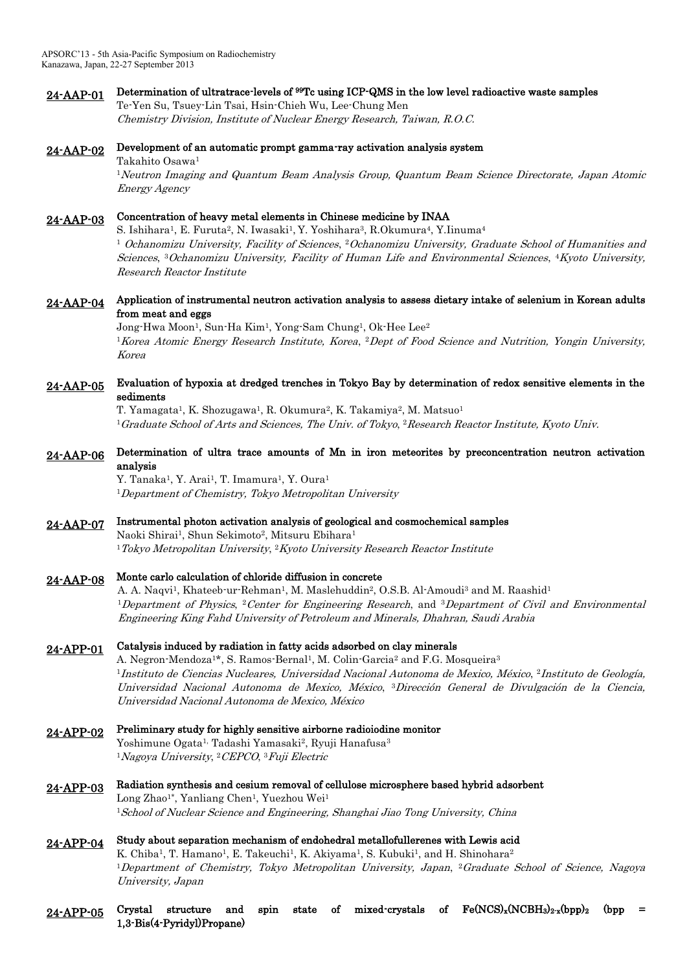### 24-AAP-01 Determination of ultratrace-levels of <sup>99</sup>Tc using ICP-QMS in the low level radioactive waste samples Te-Yen Su, Tsuey-Lin Tsai, Hsin-Chieh Wu, Lee-Chung Men

Chemistry Division, Institute of Nuclear Energy Research, Taiwan, R.O.C.

### 24-AAP-02 Development of an automatic prompt gamma-ray activation analysis system Takahito Osawa<sup>1</sup>

<sup>1</sup>Neutron Imaging and Quantum Beam Analysis Group, Quantum Beam Science Directorate, Japan Atomic Energy Agency

# 24-AAP-03 Concentration of heavy metal elements in Chinese medicine by INAA

S. Ishihara<sup>1</sup>, E. Furuta<sup>2</sup>, N. Iwasaki<sup>1</sup>, Y. Yoshihara<sup>3</sup>, R.Okumura<sup>4</sup>, Y.Iinuma<sup>4</sup> <sup>1</sup> Ochanomizu University, Facility of Sciences, <sup>2</sup>Ochanomizu University, Graduate School of Humanities and Sciences, <sup>3</sup>Ochanomizu University, Facility of Human Life and Environmental Sciences, <sup>4</sup>Kyoto University, Research Reactor Institute

## 24-AAP-04 Application of instrumental neutron activation analysis to assess dietary intake of selenium in Korean adults from meat and eggs

Jong-Hwa Moon<sup>1</sup>, Sun-Ha Kim<sup>1</sup>, Yong-Sam Chung<sup>1</sup>, Ok-Hee Lee<sup>2</sup> <sup>1</sup>Korea Atomic Energy Research Institute, Korea, <sup>2</sup>Dept of Food Science and Nutrition, Yongin University, Korea

## 24-AAP-05 Evaluation of hypoxia at dredged trenches in Tokyo Bay by determination of redox sensitive elements in the sediments

T. Yamagata<sup>1</sup>, K. Shozugawa<sup>1</sup>, R. Okumura<sup>2</sup>, K. Takamiya<sup>2</sup>, M. Matsuo<sup>1</sup>  $^1$ Graduate School of Arts and Sciences, The Univ. of Tokyo,  $^2$ Research Reactor Institute, Kyoto Univ.

## 24-AAP-06 Determination of ultra trace amounts of Mn in iron meteorites by preconcentration neutron activation analysis

Y. Tanaka<sup>1</sup>, Y. Arai<sup>1</sup>, T. Imamura<sup>1</sup>, Y. Oura<sup>1</sup> <sup>1</sup>Department of Chemistry, Tokyo Metropolitan University

#### 24-AAP-07 Instrumental photon activation analysis of geological and cosmochemical samples

Naoki Shirai<sup>1</sup>, Shun Sekimoto<sup>2</sup>, Mitsuru Ebihara<sup>1</sup>  $1$ Tokyo Metropolitan University,  $2$ Kyoto University Research Reactor Institute

# 24-AAP-08 Monte carlo calculation of chloride diffusion in concrete

A. A. Naqvi<sup>1</sup>, Khateeb-ur-Rehman<sup>1</sup>, M. Maslehuddin<sup>2</sup>, O.S.B. Al-Amoudi<sup>3</sup> and M. Raashid<sup>1</sup> <sup>1</sup>Department of Physics, <sup>2</sup>Center for Engineering Research, and <sup>3</sup>Department of Civil and Environmental Engineering King Fahd University of Petroleum and Minerals, Dhahran, Saudi Arabia

# 24-APP-01 Catalysis induced by radiation in fatty acids adsorbed on clay minerals

A. Negron-Mendoza<sup>1\*</sup>, S. Ramos-Bernal<sup>1</sup>, M. Colin-Garcia<sup>2</sup> and F.G. Mosqueira<sup>3</sup> <sup>1</sup>Instituto de Ciencias Nucleares, Universidad Nacional Autonoma de Mexico, México, <sup>2</sup>Instituto de Geología, Universidad Nacional Autonoma de Mexico, México, <sup>3</sup>Dirección General de Divulgación de la Ciencia, Universidad Nacional Autonoma de Mexico, México

- 24-APP-02 Preliminary study for highly sensitive airborne radioiodine monitor Yoshimune Ogata<sup>1,</sup> Tadashi Yamasaki<sup>2</sup>, Ryuji Hanafusa<sup>3</sup> <sup>1</sup>Nagoya University, <sup>2</sup>CEPCO, <sup>3</sup>Fuji Electric
- 24-APP-03 Radiation synthesis and cesium removal of cellulose microsphere based hybrid adsorbent Long Zhao<sup>1\*</sup>, Yanliang Chen<sup>1</sup>, Yuezhou Wei<sup>1</sup> <sup>1</sup>School of Nuclear Science and Engineering, Shanghai Jiao Tong University, China

24-APP-04 Study about separation mechanism of endohedral metallofullerenes with Lewis acid K. Chiba<sup>1</sup>, T. Hamano<sup>1</sup>, E. Takeuchi<sup>1</sup>, K. Akiyama<sup>1</sup>, S. Kubuki<sup>1</sup>, and H. Shinohara<sup>2</sup> <sup>1</sup>Department of Chemistry, Tokyo Metropolitan University, Japan, <sup>2</sup>Graduate School of Science, Nagoya University, Japan

 $24$ -APP-05 Crystal structure and spin state of mixed-crystals of Fe(NCS)<sub>x</sub>(NCBH<sub>3</sub>)<sub>2-x</sub>(bpp)<sub>2</sub> (bpp = 1,3-Bis(4-Pyridyl)Propane)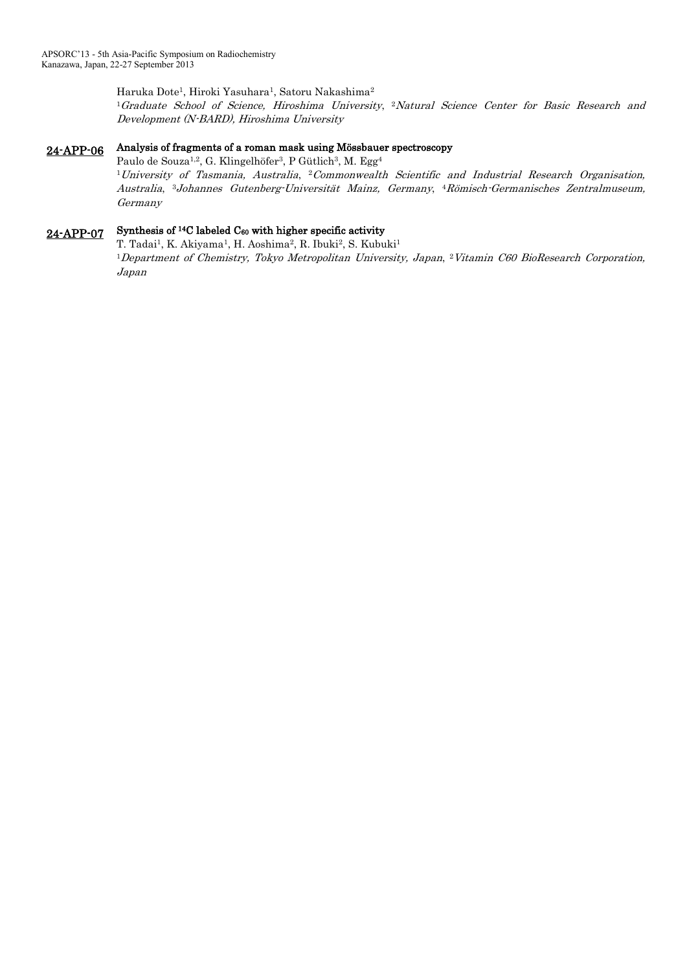Haruka Dote<sup>1</sup> , Hiroki Yasuhara<sup>1</sup> , Satoru Nakashima<sup>2</sup> <sup>1</sup>Graduate School of Science, Hiroshima University, 2Natural Science Center for Basic Research and Development (N-BARD), Hiroshima University

# 24-APP-06 Analysis of fragments of a roman mask using Mössbauer spectroscopy

Paulo de Souza<sup>1,2</sup>, G. Klingelhöfer<sup>3</sup>, P Gütlich<sup>3</sup>, M. Egg<sup>4</sup>

 $^1$ University of Tasmania, Australia,  $^2$ Commonwealth Scientific and Industrial Research Organisation, Australia, <sup>3</sup>Johannes Gutenberg-Universität Mainz, Germany, <sup>4</sup>Römisch-Germanisches Zentralmuseum, Germany

#### 24-APP-07 Synthesis of  $14C$  labeled  $C_{60}$  with higher specific activity

T. Tadai<sup>1</sup>, K. Akiyama<sup>1</sup>, H. Aoshima<sup>2</sup>, R. Ibuki<sup>2</sup>, S. Kubuki<sup>1</sup> <sup>1</sup>Department of Chemistry, Tokyo Metropolitan University, Japan, <sup>2</sup>Vitamin C60 BioResearch Corporation, Japan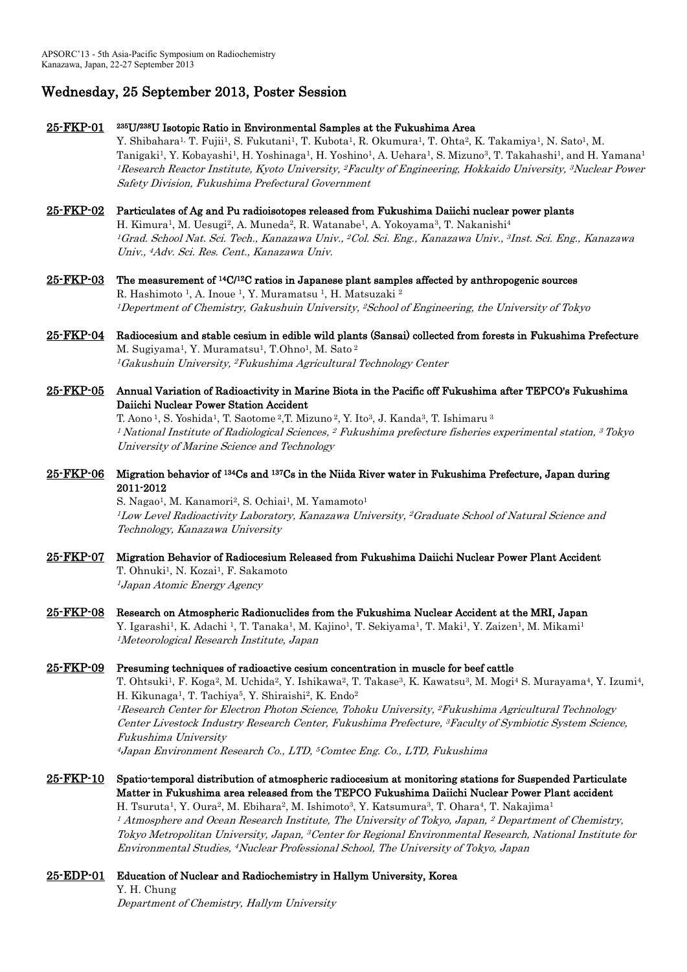# Wednesday, 25 September 2013, Poster Session

Safety Division, Fukushima Prefectural Government

25-FKP-01 <sup>235</sup>U/<sup>238</sup>U Isotopic Ratio in Environmental Samples at the Fukushima Area Y. Shibahara<sup>1,</sup> T. Fujii<sup>1</sup>, S. Fukutani<sup>1</sup>, T. Kubota<sup>1</sup>, R. Okumura<sup>1</sup>, T. Ohta<sup>2</sup>, K. Takamiya<sup>1</sup>, N. Sato<sup>1</sup>, M. Tanigaki<sup>1</sup>, Y. Kobayashi<sup>1</sup>, H. Yoshinaga<sup>1</sup>, H. Yoshino<sup>1</sup>, A. Uehara<sup>1</sup>, S. Mizuno<sup>3</sup>, T. Takahashi<sup>1</sup>, and H. Yamana<sup>1</sup> <sup>1</sup>Research Reactor Institute, Kyoto University, <sup>2</sup>Faculty of Engineering, Hokkaido University, <sup>3</sup>Nuclear Power

25-FKP-02 Particulates of Ag and Pu radioisotopes released from Fukushima Daiichi nuclear power plants H. Kimura<sup>1</sup>, M. Uesugi<sup>2</sup>, A. Muneda<sup>2</sup>, R. Watanabe<sup>1</sup>, A. Yokoyama<sup>3</sup>, T. Nakanishi<sup>4</sup> <sup>1</sup>Grad. School Nat. Sci. Tech., Kanazawa Univ., <sup>2</sup>Col. Sci. Eng., Kanazawa Univ., <sup>3</sup>Inst. Sci. Eng., Kanazawa Univ., <sup>4</sup>Adv. Sci. Res. Cent., Kanazawa Univ.

- $25$ -FKP-03 The measurement of  $14C/12C$  ratios in Japanese plant samples affected by anthropogenic sources R. Hashimoto <sup>1</sup>, A. Inoue <sup>1</sup>, Y. Muramatsu <sup>1</sup>, H. Matsuzaki <sup>2</sup> <sup>1</sup>Depertment of Chemistry, Gakushuin University, <sup>2</sup>School of Engineering, the University of Tokyo
- 25-FKP-04 Radiocesium and stable cesium in edible wild plants (Sansai) collected from forests in Fukushima Prefecture M. Sugiyama<sup>1</sup>, Y. Muramatsu<sup>1</sup>, T.Ohno<sup>1</sup>, M. Sato <sup>2</sup> <sup>1</sup>Gakushuin University, <sup>2</sup>Fukushima Agricultural Technology Center
- 25-FKP-05 Annual Variation of Radioactivity in Marine Biota in the Pacific off Fukushima after TEPCO's Fukushima Daiichi Nuclear Power Station Accident

T. Aono <sup>1</sup>, S. Yoshida <sup>1</sup>, T. Saotome <sup>2</sup>,T. Mizuno <sup>2</sup>, Y. Ito <sup>3</sup>, J. Kanda <sup>3</sup>, T. Ishimaru <sup>3</sup>  $^1$  National Institute of Radiological Sciences,  $^2$  Fukushima prefecture fisheries experimental station,  $^3$  Tokyo University of Marine Science and Technology

25-FKP-06 Migration behavior of <sup>134</sup>Cs and <sup>137</sup>Cs in the Niida River water in Fukushima Prefecture, Japan during 2011-2012

> S. Nagao<sup>1</sup>, M. Kanamori<sup>2</sup>, S. Ochiai<sup>1</sup>, M. Yamamoto<sup>1</sup> <sup>1</sup>Low Level Radioactivity Laboratory, Kanazawa University, <sup>2</sup>Graduate School of Natural Science and Technology, Kanazawa University

- 25-FKP-07 Migration Behavior of Radiocesium Released from Fukushima Daiichi Nuclear Power Plant Accident T. Ohnuki<sup>1</sup>, N. Kozai<sup>1</sup>, F. Sakamoto <sup>1</sup> Japan Atomic Energy Agency
- 25-FKP-08 Research on Atmospheric Radionuclides from the Fukushima Nuclear Accident at the MRI, Japan Y. Igarashi<sup>1</sup>, K. Adachi <sup>1</sup>, T. Tanaka<sup>1</sup>, M. Kajino<sup>1</sup>, T. Sekiyama<sup>1</sup>, T. Maki<sup>1</sup>, Y. Zaizen<sup>1</sup>, M. Mikami<sup>1</sup> <sup>1</sup>Meteorological Research Institute, Japan

## 25-FKP-09 Presuming techniques of radioactive cesium concentration in muscle for beef cattle

T. Ohtsuki<sup>1</sup>, F. Koga<sup>2</sup>, M. Uchida<sup>2</sup>, Y. Ishikawa<sup>2</sup>, T. Takase<sup>3</sup>, K. Kawatsu<sup>3</sup>, M. Mogi<sup>4</sup> S. Murayama<sup>4</sup>, Y. Izumi<sup>4</sup>, H. Kikunaga<sup>1</sup>, T. Tachiya<sup>5</sup>, Y. Shiraishi<sup>2</sup>, K. Endo<sup>2</sup> <sup>1</sup>Research Center for Electron Photon Science, Tohoku University, <sup>2</sup>Fukushima Agricultural Technology Center Livestock Industry Research Center, Fukushima Prefecture, <sup>3</sup>Faculty of Symbiotic System Science, Fukushima University <sup>4</sup> Japan Environment Research Co., LTD, <sup>5</sup>Comtec Eng. Co., LTD, Fukushima

### 25-FKP-10 Spatio-temporal distribution of atmospheric radiocesium at monitoring stations for Suspended Particulate Matter in Fukushima area released from the TEPCO Fukushima Daiichi Nuclear Power Plant accident H. Tsuruta<sup>1</sup>, Y. Oura<sup>2</sup>, M. Ebihara<sup>2</sup>, M. Ishimoto<sup>3</sup>, Y. Katsumura<sup>3</sup>, T. Ohara<sup>4</sup>, T. Nakajima<sup>1</sup>

 $^{\text{\textit{1}}\!$  Atmosphere and Ocean Research Institute, The University of Tokyo, Japan,  $^{\text{\textit{2}}}$  Department of Chemistry, Tokyo Metropolitan University, Japan, <sup>3</sup>Center for Regional Environmental Research, National Institute for Environmental Studies, <sup>4</sup>Nuclear Professional School, The University of Tokyo, Japan

25-EDP-01 Education of Nuclear and Radiochemistry in Hallym University, Korea Y. H. Chung Department of Chemistry, Hallym University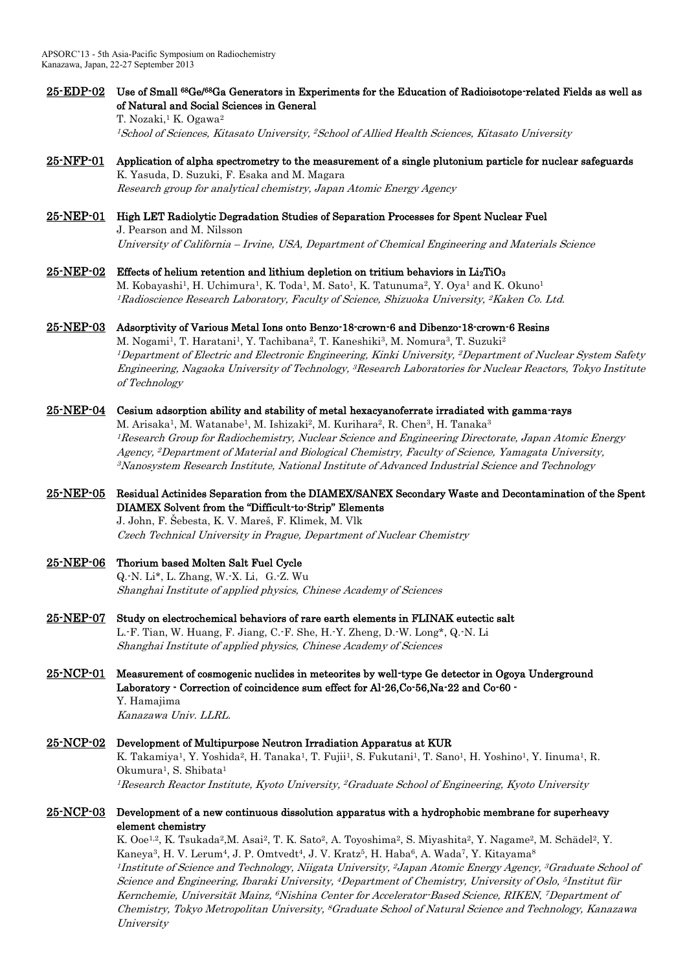# 25-EDP-02 Use of Small <sup>68</sup>Ge/<sup>68</sup>Ga Generators in Experiments for the Education of Radioisotope-related Fields as well as of Natural and Social Sciences in General

T. Nozaki,<sup>1</sup> K. Ogawa<sup>2</sup> <sup>1</sup>School of Sciences, Kitasato University, <sup>2</sup>School of Allied Health Sciences, Kitasato University

# 25-NFP-01 Application of alpha spectrometry to the measurement of a single plutonium particle for nuclear safeguards K. Yasuda, D. Suzuki, F. Esaka and M. Magara

Research group for analytical chemistry, Japan Atomic Energy Agency

## 25-NEP-01 High LET Radiolytic Degradation Studies of Separation Processes for Spent Nuclear Fuel J. Pearson and M. Nilsson

University of California – Irvine, USA, Department of Chemical Engineering and Materials Science

# 25-NEP-02 Effects of helium retention and lithium depletion on tritium behaviors in  $Li<sub>2</sub>TiO<sub>3</sub>$

M. Kobayashi<sup>1</sup>, H. Uchimura<sup>1</sup>, K. Toda<sup>1</sup>, M. Sato<sup>1</sup>, K. Tatunuma<sup>2</sup>, Y. Oya<sup>1</sup> and K. Okuno<sup>1</sup>  $^1$ Radioscience Research Laboratory, Faculty of Science, Shizuoka University,  $^2$ Kaken Co. Ltd.

# 25-NEP-03 Adsorptivity of Various Metal Ions onto Benzo-18-crown-6 and Dibenzo-18-crown-6 Resins

M. Nogami<sup>1</sup>, T. Haratani<sup>1</sup>, Y. Tachibana<sup>2</sup>, T. Kaneshiki<sup>3</sup>, M. Nomura<sup>3</sup>, T. Suzuki<sup>2</sup> <sup>1</sup>Department of Electric and Electronic Engineering, Kinki University, <sup>2</sup>Department of Nuclear System Safety Engineering, Nagaoka University of Technology, <sup>3</sup>Research Laboratories for Nuclear Reactors, Tokyo Institute of Technology

# 25-NEP-04 Cesium adsorption ability and stability of metal hexacyanoferrate irradiated with gamma-rays

M. Arisaka<sup>1</sup>, M. Watanabe<sup>1</sup>, M. Ishizaki<sup>2</sup>, M. Kurihara<sup>2</sup>, R. Chen<sup>3</sup>, H. Tanaka<sup>3</sup> <sup>1</sup>Research Group for Radiochemistry, Nuclear Science and Engineering Directorate, Japan Atomic Energy Agency, <sup>2</sup>Department of Material and Biological Chemistry, Faculty of Science, Yamagata University, <sup>3</sup>Nanosystem Research Institute, National Institute of Advanced Industrial Science and Technology

# 25-NEP-05 Residual Actinides Separation from the DIAMEX/SANEX Secondary Waste and Decontamination of the Spent DIAMEX Solvent from the "Difficult-to-Strip" Elements

J. John, F. Šebesta, K. V. Mareš, F. Klimek, M. Vlk Czech Technical University in Prague, Department of Nuclear Chemistry

# 25-NEP-06 Thorium based Molten Salt Fuel Cycle

Q.-N. Li\*, L. Zhang, W.-X. Li,G.-Z. Wu Shanghai Institute of applied physics, Chinese Academy of Sciences

25-NEP-07 Study on electrochemical behaviors of rare earth elements in FLINAK eutectic salt L.-F. Tian, W. Huang, F. Jiang, C.-F. She, H.-Y. Zheng, D.-W. Long\*, Q.-N. Li Shanghai Institute of applied physics, Chinese Academy of Sciences

## 25-NCP-01 Measurement of cosmogenic nuclides in meteorites by well-type Ge detector in Ogoya Underground Laboratory - Correction of coincidence sum effect for Al-26,Co-56,Na-22 and Co-60 - Y. Hamajima

Kanazawa Univ. LLRL.

# 25-NCP-02 Development of Multipurpose Neutron Irradiation Apparatus at KUR

K. Takamiya<sup>1</sup>, Y. Yoshida<sup>2</sup>, H. Tanaka<sup>1</sup>, T. Fujii<sup>1</sup>, S. Fukutani<sup>1</sup>, T. Sano<sup>1</sup>, H. Yoshino<sup>1</sup>, Y. Iinuma<sup>1</sup>, R. Okumura<sup>1</sup>, S. Shibata<sup>1</sup> <sup>1</sup>Research Reactor Institute, Kyoto University, <sup>2</sup>Graduate School of Engineering, Kyoto University

# 25-NCP-03 Development of a new continuous dissolution apparatus with a hydrophobic membrane for superheavy element chemistry

K. Ooe<sup>1,2</sup>, K. Tsukada<sup>2</sup>,M. Asai<sup>2</sup>, T. K. Sato<sup>2</sup>, A. Toyoshima<sup>2</sup>, S. Miyashita<sup>2</sup>, Y. Nagame<sup>2</sup>, M. Schädel<sup>2</sup>, Y. Kaneya<sup>3</sup>, H. V. Lerum<sup>4</sup>, J. P. Omtvedt<sup>4</sup>, J. V. Kratz<sup>5</sup>, H. Haba<sup>6</sup>, A. Wada<sup>7</sup>, Y. Kitayama<sup>8</sup> <sup>1</sup> Institute of Science and Technology, Niigata University, <sup>2</sup> Japan Atomic Energy Agency, <sup>3</sup>Graduate School of Science and Engineering, Ibaraki University, <sup>4</sup>Department of Chemistry, University of Oslo, <sup>5</sup>Institut für Kernchemie, Universität Mainz, 6Nishina Center for Accelerator-Based Science, RIKEN, 7Department of Chemistry, Tokyo Metropolitan University, <sup>8</sup>Graduate School of Natural Science and Technology, Kanazawa *University*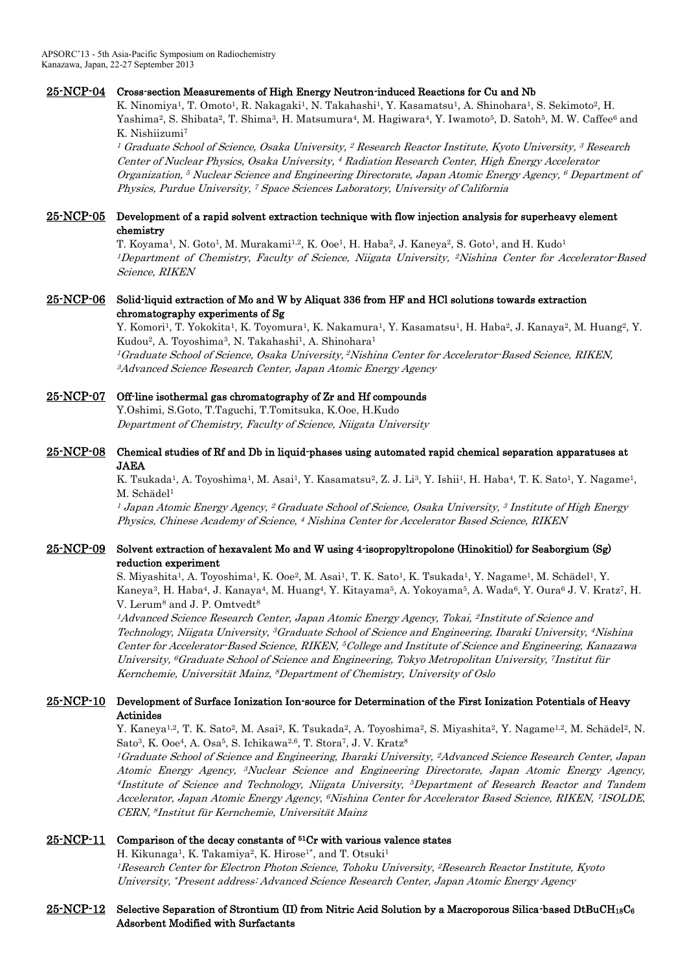## 25-NCP-04 Cross-section Measurements of High Energy Neutron-induced Reactions for Cu and Nb

K. Ninomiya<sup>1</sup>, T. Omoto<sup>1</sup>, R. Nakagaki<sup>1</sup>, N. Takahashi<sup>1</sup>, Y. Kasamatsu<sup>1</sup>, A. Shinohara<sup>1</sup>, S. Sekimoto<sup>2</sup>, H. Yashima<sup>2</sup>, S. Shibata<sup>2</sup>, T. Shima<sup>3</sup>, H. Matsumura<sup>4</sup>, M. Hagiwara<sup>4</sup>, Y. Iwamoto<sup>5</sup>, D. Satoh<sup>5</sup>, M. W. Caffee<sup>6</sup> and K. Nishiizumi<sup>7</sup>

 $^{\rm 1}$  Graduate School of Science, Osaka University,  $^{\rm 2}$  Research Reactor Institute, Kyoto University,  $^{\rm 3}$  Research Center of Nuclear Physics, Osaka University, <sup>4</sup> Radiation Research Center, High Energy Accelerator Organization, <sup>5</sup> Nuclear Science and Engineering Directorate, Japan Atomic Energy Agency, <sup>6</sup> Department of Physics, Purdue University, <sup>7</sup> Space Sciences Laboratory, University of California

## 25-NCP-05 Development of a rapid solvent extraction technique with flow injection analysis for superheavy element chemistry

T. Koyama<sup>1</sup>, N. Goto<sup>1</sup>, M. Murakami<sup>1,2</sup>, K. Ooe<sup>1</sup>, H. Haba<sup>2</sup>, J. Kaneya<sup>2</sup>, S. Goto<sup>1</sup>, and H. Kudo<sup>1</sup> <sup>1</sup>Department of Chemistry, Faculty of Science, Niigata University, <sup>2</sup>Nishina Center for Accelerator-Based Science, RIKEN

## 25-NCP-06 Solid-liquid extraction of Mo and W by Aliquat 336 from HF and HCl solutions towards extraction chromatography experiments of Sg

Y. Komori<sup>1</sup>, T. Yokokita<sup>1</sup>, K. Toyomura<sup>1</sup>, K. Nakamura<sup>1</sup>, Y. Kasamatsu<sup>1</sup>, H. Haba<sup>2</sup>, J. Kanaya<sup>2</sup>, M. Huang<sup>2</sup>, Y. Kudou<sup>2</sup>, A. Toyoshima<sup>3</sup>, N. Takahashi<sup>1</sup>, A. Shinohara<sup>1</sup> <sup>1</sup>Graduate School of Science, Osaka University, <sup>2</sup>Nishina Center for Accelerator-Based Science, RIKEN, <sup>3</sup>Advanced Science Research Center, Japan Atomic Energy Agency

## 25-NCP-07 Off-line isothermal gas chromatography of Zr and Hf compounds

Y.Oshimi, S.Goto, T.Taguchi, T.Tomitsuka, K.Ooe, H.Kudo Department of Chemistry, Faculty of Science, Niigata University

## 25-NCP-08 Chemical studies of Rf and Db in liquid-phases using automated rapid chemical separation apparatuses at JAEA

K. Tsukada<sup>1</sup>, A. Toyoshima<sup>1</sup>, M. Asai<sup>1</sup>, Y. Kasamatsu<sup>2</sup>, Z. J. Li<sup>3</sup>, Y. Ishii<sup>1</sup>, H. Haba<sup>4</sup>, T. K. Sato<sup>1</sup>, Y. Nagame<sup>1</sup>, M. Schädel<sup>1</sup>

<sup>1</sup> Japan Atomic Energy Agency, <sup>2</sup> Graduate School of Science, Osaka University, <sup>3</sup> Institute of High Energy Physics, Chinese Academy of Science, <sup>4</sup> Nishina Center for Accelerator Based Science, RIKEN

## 25-NCP-09 Solvent extraction of hexavalent Mo and W using 4-isopropyltropolone (Hinokitiol) for Seaborgium (Sg) reduction experiment

S. Miyashita<sup>1</sup>, A. Toyoshima<sup>1</sup>, K. Ooe<sup>2</sup>, M. Asai<sup>1</sup>, T. K. Sato<sup>1</sup>, K. Tsukada<sup>1</sup>, Y. Nagame<sup>1</sup>, M. Schädel<sup>1</sup>, Y. Kaneya<sup>3</sup>, H. Haba<sup>4</sup>, J. Kanaya<sup>4</sup>, M. Huang<sup>4</sup>, Y. Kitayama<sup>5</sup>, A. Yokoyama<sup>5</sup>, A. Wada<sup>6</sup>, Y. Oura<sup>6</sup> J. V. Kratz<sup>7</sup>, H. V. Lerum<sup>8</sup> and J. P. Omtvedt<sup>8</sup>

<sup>1</sup>Advanced Science Research Center, Japan Atomic Energy Agency, Tokai, <sup>2</sup> Institute of Science and Technology, Niigata University, <sup>3</sup>Graduate School of Science and Engineering, Ibaraki University, <sup>4</sup>Nishina Center for Accelerator-Based Science, RIKEN, <sup>5</sup>College and Institute of Science and Engineering, Kanazawa University, <sup>6</sup>Graduate School of Science and Engineering, Tokyo Metropolitan University, <sup>7</sup>Institut für Kernchemie, Universität Mainz, <sup>8</sup>Department of Chemistry, University of Oslo

## 25-NCP-10 Development of Surface Ionization Ion-source for Determination of the First Ionization Potentials of Heavy Actinides

Y. Kaneya<sup>1,2</sup>, T. K. Sato<sup>2</sup>, M. Asai<sup>2</sup>, K. Tsukada<sup>2</sup>, A. Toyoshima<sup>2</sup>, S. Miyashita<sup>2</sup>, Y. Nagame<sup>1,2</sup>, M. Schädel<sup>2</sup>, N. Sato<sup>3</sup>, K. Ooe<sup>4</sup>, A. Osa<sup>5</sup>, S. Ichikawa<sup>2,6</sup>, T. Stora<sup>7</sup>, J. V. Kratz<sup>8</sup>

<sup>1</sup>Graduate School of Science and Engineering, Ibaraki University, <sup>2</sup>Advanced Science Research Center, Japan Atomic Energy Agency, <sup>3</sup>Nuclear Science and Engineering Directorate, Japan Atomic Energy Agency, <sup>4</sup> Institute of Science and Technology, Niigata University, <sup>5</sup>Department of Research Reactor and Tandem Accelerator, Japan Atomic Energy Agency, <sup>6</sup>Nishina Center for Accelerator Based Science, RIKEN, <sup>7</sup>ISOLDE, CERN, <sup>8</sup> Institut für Kernchemie, Universität Mainz

## $25\text{-}NCP-11$  Comparison of the decay constants of  ${}^{51}Cr$  with various valence states

H. Kikunaga<sup>1</sup>, K. Takamiya<sup>2</sup>, K. Hirose<sup>1\*</sup>, and T. Otsuki<sup>1</sup> <sup>1</sup>Research Center for Electron Photon Science, Tohoku University, <sup>2</sup>Research Reactor Institute, Kyoto University, \*Present address: Advanced Science Research Center, Japan Atomic Energy Agency

## $25\text{-NCP-12}$  Selective Separation of Strontium (II) from Nitric Acid Solution by a Macroporous Silica-based DtBuCH18C6 Adsorbent Modified with Surfactants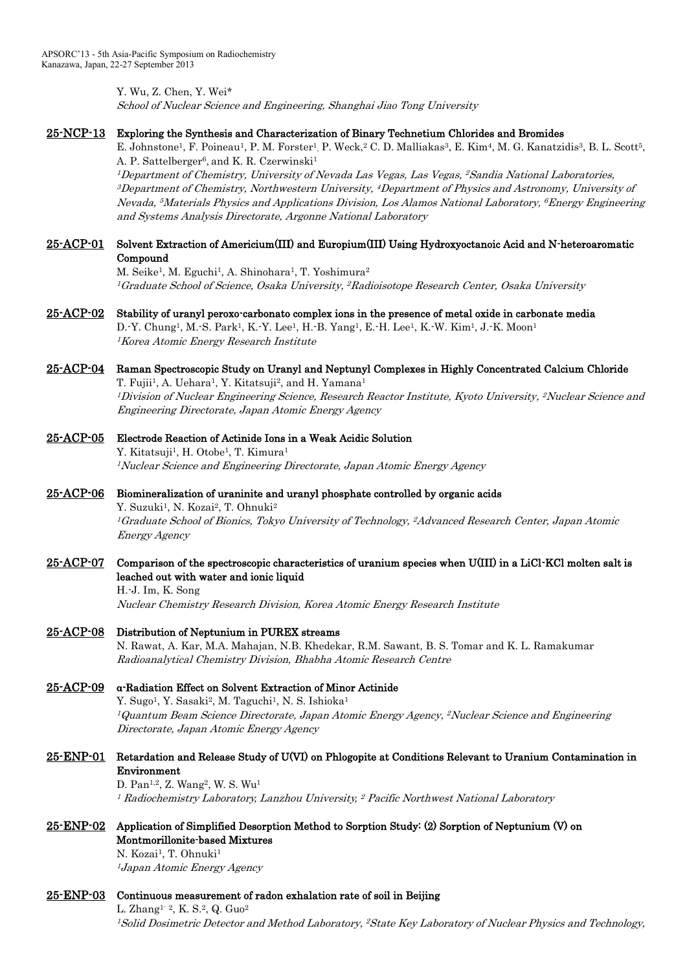Y. Wu, Z. Chen, Y. Wei\* School of Nuclear Science and Engineering, Shanghai Jiao Tong University

### 25-NCP-13 Exploring the Synthesis and Characterization of Binary Technetium Chlorides and Bromides

E. Johnstone<sup>1</sup>, F. Poineau<sup>1</sup>, P. M. Forster<sup>1</sup>, P. Weck,<sup>2</sup> C. D. Malliakas<sup>3</sup>, E. Kim<sup>4</sup>, M. G. Kanatzidis<sup>3</sup>, B. L. Scott<sup>5</sup>, A. P. Sattelberger<sup>6</sup>, and K. R. Czerwinski<sup>1</sup>

<sup>1</sup>Department of Chemistry, University of Nevada Las Vegas, Las Vegas, <sup>2</sup>Sandia National Laboratories,  $^3$ Department of Chemistry, Northwestern University,  $^4$ Department of Physics and Astronomy, University of Nevada, <sup>5</sup>Materials Physics and Applications Division, Los Alamos National Laboratory, <sup>6</sup>Energy Engineering and Systems Analysis Directorate, Argonne National Laboratory

## 25-ACP-01 Solvent Extraction of Americium(III) and Europium(III) Using Hydroxyoctanoic Acid and N-heteroaromatic Compound

M. Seike<sup>1</sup>, M. Eguchi<sup>1</sup>, A. Shinohara<sup>1</sup>, T. Yoshimura<sup>2</sup>  $^1G$ raduate School of Science, Osaka University,  $^2R$ adioisotope Research Center, Osaka University

25-ACP-02 Stability of uranyl peroxo-carbonato complex ions in the presence of metal oxide in carbonate media D.-Y. Chung<sup>1</sup>, M.-S. Park<sup>1</sup>, K.-Y. Lee<sup>1</sup>, H.-B. Yang<sup>1</sup>, E.-H. Lee<sup>1</sup>, K.-W. Kim<sup>1</sup>, J.-K. Moon<sup>1</sup>

<sup>1</sup>Korea Atomic Energy Research Institute

### 25-ACP-04 Raman Spectroscopic Study on Uranyl and Neptunyl Complexes in Highly Concentrated Calcium Chloride T. Fujii<sup>1</sup>, A. Uehara<sup>1</sup>, Y. Kitatsuji<sup>2</sup>, and H. Yamana<sup>1</sup>

<sup>1</sup>Division of Nuclear Engineering Science, Research Reactor Institute, Kyoto University, <sup>2</sup>Nuclear Science and Engineering Directorate, Japan Atomic Energy Agency

### 25-ACP-05 Electrode Reaction of Actinide Ions in a Weak Acidic Solution

Y. Kitatsuji<sup>1</sup>, H. Otobe<sup>1</sup>, T. Kimura<sup>1</sup> <sup>1</sup>Nuclear Science and Engineering Directorate, Japan Atomic Energy Agency

## 25-ACP-06 Biomineralization of uraninite and uranyl phosphate controlled by organic acids

Y. Suzuki<sup>1</sup>, N. Kozai<sup>2</sup>, T. Ohnuki<sup>2</sup> <sup>1</sup>Graduate School of Bionics, Tokyo University of Technology, <sup>2</sup>Advanced Research Center, Japan Atomic Energy Agency

# 25-ACP-07 Comparison of the spectroscopic characteristics of uranium species when U(III) in a LiCl-KCl molten salt is leached out with water and ionic liquid

H.-J. Im, K. Song Nuclear Chemistry Research Division, Korea Atomic Energy Research Institute

25-ACP-08 Distribution of Neptunium in PUREX streams

N. Rawat, A. Kar, M.A. Mahajan, N.B. Khedekar, R.M. Sawant, B. S. Tomar and K. L. Ramakumar Radioanalytical Chemistry Division, Bhabha Atomic Research Centre

# 25-ACP-09 α-Radiation Effect on Solvent Extraction of Minor Actinide Y. Sugo<sup>1</sup>, Y. Sasaki<sup>2</sup>, M. Taguchi<sup>1</sup>, N. S. Ishioka<sup>1</sup> <sup>1</sup>Quantum Beam Science Directorate, Japan Atomic Energy Agency, <sup>2</sup>Nuclear Science and Engineering Directorate, Japan Atomic Energy Agency

# 25-ENP-01 Retardation and Release Study of U(VI) on Phlogopite at Conditions Relevant to Uranium Contamination in Environment

D. Pan<sup>1,2</sup>, Z. Wang<sup>2</sup>, W. S. Wu<sup>1</sup> <sup>1</sup> Radiochemistry Laboratory, Lanzhou University, <sup>2</sup> Pacific Northwest National Laboratory

# 25-ENP-02 Application of Simplified Desorption Method to Sorption Study: (2) Sorption of Neptunium (V) on Montmorillonite-based Mixtures

N. Kozai<sup>1</sup>, T. Ohnuki<sup>1</sup> <sup>1</sup> Japan Atomic Energy Agency

## 25-ENP-03 Continuous measurement of radon exhalation rate of soil in Beijing

L. Zhang<sup>1, 2</sup>, K. S.<sup>2</sup>, Q. Guo<sup>2</sup> <sup>1</sup>Solid Dosimetric Detector and Method Laboratory, <sup>2</sup>State Key Laboratory of Nuclear Physics and Technology,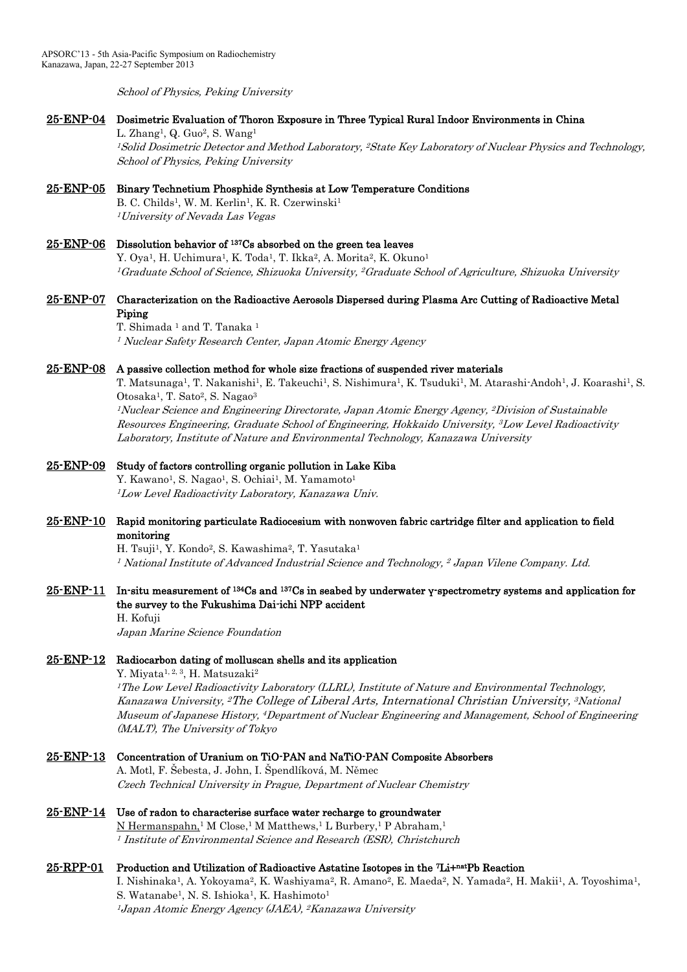School of Physics, Peking University

## 25-ENP-04 Dosimetric Evaluation of Thoron Exposure in Three Typical Rural Indoor Environments in China

L. Zhang<sup>1</sup>, Q. Guo<sup>2</sup>, S. Wang<sup>1</sup> <sup>1</sup>Solid Dosimetric Detector and Method Laboratory, <sup>2</sup>State Key Laboratory of Nuclear Physics and Technology, School of Physics, Peking University

# 25-ENP-05 Binary Technetium Phosphide Synthesis at Low Temperature Conditions

B. C. Childs<sup>1</sup>, W. M. Kerlin<sup>1</sup>, K. R. Czerwinski<sup>1</sup> <sup>1</sup>University of Nevada Las Vegas

## 25-ENP-06 Dissolution behavior of <sup>137</sup>Cs absorbed on the green tea leaves Y. Oya<sup>1</sup>, H. Uchimura<sup>1</sup>, K. Toda<sup>1</sup>, T. Ikka<sup>2</sup>, A. Morita<sup>2</sup>, K. Okuno<sup>1</sup> <sup>1</sup>Graduate School of Science, Shizuoka University, <sup>2</sup>Graduate School of Agriculture, Shizuoka University

## 25-ENP-07 Characterization on the Radioactive Aerosols Dispersed during Plasma Arc Cutting of Radioactive Metal Piping

T. Shimada<sup>1</sup> and T. Tanaka<sup>1</sup> <sup>1</sup> Nuclear Safety Research Center, Japan Atomic Energy Agency

### 25-ENP-08 A passive collection method for whole size fractions of suspended river materials

T. Matsunaga<sup>1</sup>, T. Nakanishi<sup>1</sup>, E. Takeuchi<sup>1</sup>, S. Nishimura<sup>1</sup>, K. Tsuduki<sup>1</sup>, M. Atarashi-Andoh<sup>1</sup>, J. Koarashi<sup>1</sup>, S. Otosaka<sup>1</sup>, T. Sato<sup>2</sup>, S. Nagao<sup>3</sup>

<sup>1</sup>Nuclear Science and Engineering Directorate, Japan Atomic Energy Agency, <sup>2</sup>Division of Sustainable Resources Engineering, Graduate School of Engineering, Hokkaido University, <sup>3</sup>Low Level Radioactivity Laboratory, Institute of Nature and Environmental Technology, Kanazawa University

### 25-ENP-09 Study of factors controlling organic pollution in Lake Kiba

Y. Kawano<sup>1</sup>, S. Nagao<sup>1</sup>, S. Ochiai<sup>1</sup>, M. Yamamoto<sup>1</sup> <sup>1</sup>Low Level Radioactivity Laboratory, Kanazawa Univ.

### 25-ENP-10 Rapid monitoring particulate Radiocesium with nonwoven fabric cartridge filter and application to field monitoring

H. Tsuji<sup>1</sup>, Y. Kondo<sup>2</sup>, S. Kawashima<sup>2</sup>, T. Yasutaka<sup>1</sup>  $^{\rm 1}$  National Institute of Advanced Industrial Science and Technology,  $^{\rm 2}$  Japan Vilene Company. Ltd.

# 25-ENP-11 In-situ measurement of <sup>134</sup>Cs and <sup>137</sup>Cs in seabed by underwater γ-spectrometry systems and application for the survey to the Fukushima Dai-ichi NPP accident

H. Kofuji

Japan Marine Science Foundation

### 25-ENP-12 Radiocarbon dating of molluscan shells and its application

Y. Miyata<sup>1, 2, 3</sup>, H. Matsuzaki<sup>2</sup> <sup>1</sup>The Low Level Radioactivity Laboratory (LLRL), Institute of Nature and Environmental Technology, Kanazawa University, <sup>2</sup>The College of Liberal Arts, International Christian University, <sup>3</sup>National Museum of Japanese History, <sup>4</sup>Department of Nuclear Engineering and Management, School of Engineering (MALT), The University of Tokyo

### 25-ENP-13 Concentration of Uranium on TiO-PAN and NaTiO-PAN Composite Absorbers

A. Motl, F. Šebesta, J. John, I. Špendlíková, M. Němec Czech Technical University in Prague, Department of Nuclear Chemistry

## $25$ -ENP-14 Use of radon to characterise surface water recharge to groundwater

N Hermanspahn,<sup>1</sup> M Close,<sup>1</sup> M Matthews,<sup>1</sup> L Burbery,<sup>1</sup> P Abraham,<sup>1</sup> <sup>1</sup> Institute of Environmental Science and Research (ESR), Christchurch

### 25-RPP-01 Production and Utilization of Radioactive Astatine Isotopes in the <sup>7</sup>Li+natPb Reaction

I. Nishinaka<sup>1</sup>, A. Yokoyama<sup>2</sup>, K. Washiyama<sup>2</sup>, R. Amano<sup>2</sup>, E. Maeda<sup>2</sup>, N. Yamada<sup>2</sup>, H. Makii<sup>1</sup>, A. Toyoshima<sup>1</sup>, S. Watanabe<sup>1</sup>, N. S. Ishioka<sup>1</sup>, K. Hashimoto<sup>1</sup> <sup>1</sup> Japan Atomic Energy Agency (JAEA), 2Kanazawa University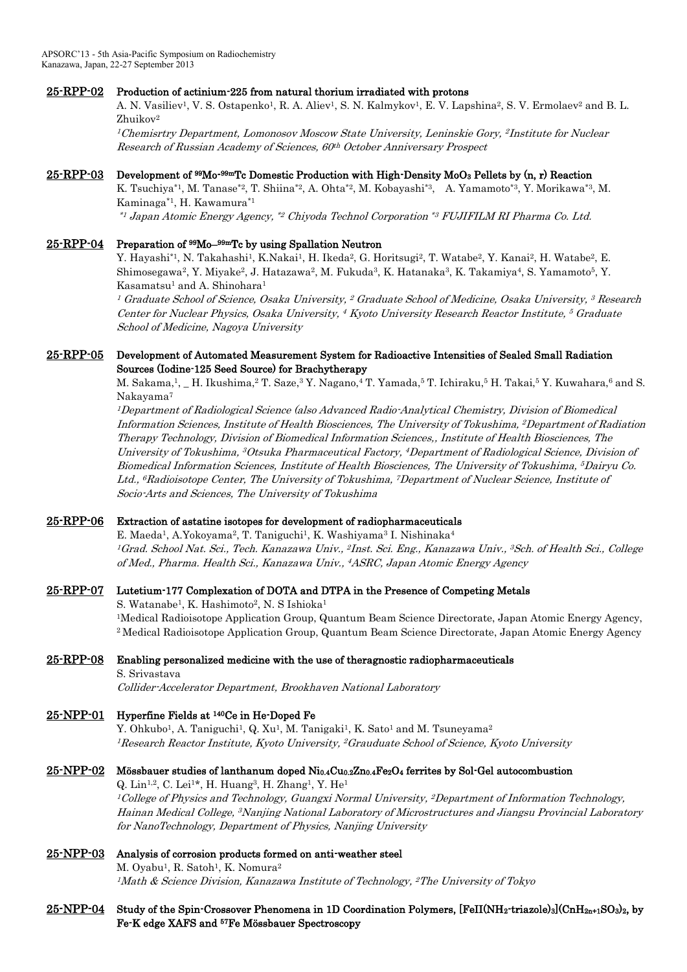## 25-RPP-02 Production of actinium-225 from natural thorium irradiated with protons

A. N. Vasiliev<sup>1</sup>, V. S. Ostapenko<sup>1</sup>, R. A. Aliev<sup>1</sup>, S. N. Kalmykov<sup>1</sup>, E. V. Lapshina<sup>2</sup>, S. V. Ermolaev<sup>2</sup> and B. L. Zhuikov<sup>2</sup>

<sup>1</sup>Chemisrtry Department, Lomonosov Moscow State University, Leninskie Gory, <sup>2</sup> Institute for Nuclear Research of Russian Academy of Sciences, 60 th October Anniversary Prospect

### 25-RPP-03 Development of <sup>99</sup>Mo<sup>-99m</sup>Tc Domestic Production with High-Density MoO<sub>3</sub> Pellets by (n, r) Reaction

K. Tsuchiya\*1, M. Tanase\*2, T. Shiina\*2, A. Ohta\*2, M. Kobayashi\*3, A. Yamamoto\*3, Y. Morikawa\*3, M. Kaminaga\*1, H. Kawamura\*1

\*1 Japan Atomic Energy Agency, \*2 Chiyoda Technol Corporation \*3 FUJIFILM RI Pharma Co. Ltd.

### 25-RPP-04 Preparation of <sup>99</sup>Mo<sup>-99m</sup>Tc by using Spallation Neutron

Y. Hayashi\*1, N. Takahashi1, K.Nakai1, H. Ikeda<sup>2</sup>, G. Horitsugi<sup>2</sup>, T. Watabe<sup>2</sup>, Y. Kanai<sup>2</sup>, H. Watabe<sup>2</sup>, E. Shimosegawa<sup>2</sup>, Y. Miyake<sup>2</sup>, J. Hatazawa<sup>2</sup>, M. Fukuda<sup>3</sup>, K. Hatanaka<sup>3</sup>, K. Takamiya<sup>4</sup>, S. Yamamoto<sup>5</sup>, Y. Kasamatsu<sup>1</sup> and A. Shinohara<sup>1</sup>

 $^{\rm I}$  Graduate School of Science, Osaka University,  $^{\rm 2}$  Graduate School of Medicine, Osaka University,  $^{\rm 3}$  Research Center for Nuclear Physics, Osaka University, <sup>4</sup> Kyoto University Research Reactor Institute, <sup>5</sup> Graduate School of Medicine, Nagoya University

### 25-RPP-05 Development of Automated Measurement System for Radioactive Intensities of Sealed Small Radiation Sources (Iodine-125 Seed Source) for Brachytherapy

M. Sakama,<sup>1</sup>, \_ H. Ikushima,<sup>2</sup> T. Saze,<sup>3</sup> Y. Nagano,<sup>4</sup> T. Yamada,<sup>5</sup> T. Ichiraku,<sup>5</sup> H. Takai,<sup>5</sup> Y. Kuwahara,<sup>6</sup> and S. Nakayama<sup>7</sup>

<sup>1</sup>Department of Radiological Science (also Advanced Radio-Analytical Chemistry, Division of Biomedical Information Sciences, Institute of Health Biosciences, The University of Tokushima, <sup>2</sup>Department of Radiation Therapy Technology, Division of Biomedical Information Sciences,, Institute of Health Biosciences, The University of Tokushima, <sup>3</sup>Otsuka Pharmaceutical Factory, <sup>4</sup>Department of Radiological Science, Division of Biomedical Information Sciences, Institute of Health Biosciences, The University of Tokushima, <sup>5</sup>Dairyu Co. Ltd., <sup>6</sup>Radioisotope Center, The University of Tokushima, <sup>7</sup>Department of Nuclear Science, Institute of Socio-Arts and Sciences, The University of Tokushima

### 25-RPP-06 Extraction of astatine isotopes for development of radiopharmaceuticals

E. Maeda<sup>1</sup>, A.Yokoyama<sup>2</sup>, T. Taniguchi<sup>1</sup>, K. Washiyama<sup>3</sup> I. Nishinaka<sup>4</sup> <sup>1</sup>Grad. School Nat. Sci., Tech. Kanazawa Univ., <sup>2</sup>Inst. Sci. Eng., Kanazawa Univ., <sup>3</sup>Sch. of Health Sci., College of Med., Pharma. Health Sci., Kanazawa Univ., <sup>4</sup>ASRC, Japan Atomic Energy Agency

# 25-RPP-07 Lutetium-177 Complexation of DOTA and DTPA in the Presence of Competing Metals

S. Watanabe<sup>1</sup>, K. Hashimoto<sup>2</sup>, N. S Ishioka<sup>1</sup> <sup>1</sup>Medical Radioisotope Application Group, Quantum Beam Science Directorate, Japan Atomic Energy Agency, <sup>2</sup> Medical Radioisotope Application Group, Quantum Beam Science Directorate, Japan Atomic Energy Agency

### 25-RPP-08 Enabling personalized medicine with the use of theragnostic radiopharmaceuticals

S. Srivastava

Collider-Accelerator Department, Brookhaven National Laboratory

## 25-NPP-01 Hyperfine Fields at <sup>140</sup>Ce in He-Doped Fe

Y. Ohkubo<sup>1</sup>, A. Taniguchi<sup>1</sup>, Q. Xu<sup>1</sup>, M. Tanigaki<sup>1</sup>, K. Sato<sup>1</sup> and M. Tsuneyama<sup>2</sup> <sup>1</sup>Research Reactor Institute, Kyoto University, <sup>2</sup>Grauduate School of Science, Kyoto University

### 25-NPP-02 Mössbauer studies of lanthanum doped Ni0.4Cu0.2Zn0.4Fe2O4 ferrites by Sol-Gel autocombustion

Q. Lin<sup>1,2</sup>, C. Lei<sup>1\*</sup>, H. Huang<sup>3</sup>, H. Zhang<sup>1</sup>, Y. He<sup>1</sup>  $^{1}$ College of Physics and Technology, Guangxi Normal University,  $^{2}$ Department of Information Technology, Hainan Medical College, <sup>3</sup>Nanjing National Laboratory of Microstructures and Jiangsu Provincial Laboratory for NanoTechnology, Department of Physics, Nanjing University

### 25-NPP-03 Analysis of corrosion products formed on anti-weather steel

M. Oyabu<sup>1</sup>, R. Satoh<sup>1</sup>, K. Nomura<sup>2</sup> <sup>1</sup>Math & Science Division, Kanazawa Institute of Technology, <sup>2</sup>The University of Tokyo

## $25\text{-NPP-04}$  Study of the Spin-Crossover Phenomena in 1D Coordination Polymers, [FeII(NH<sub>2</sub>-triazole)<sub>3</sub>](CnH<sub>2n+1</sub>SO<sub>3</sub>)<sub>2</sub>, by Fe-K edge XAFS and 57Fe Mössbauer Spectroscopy